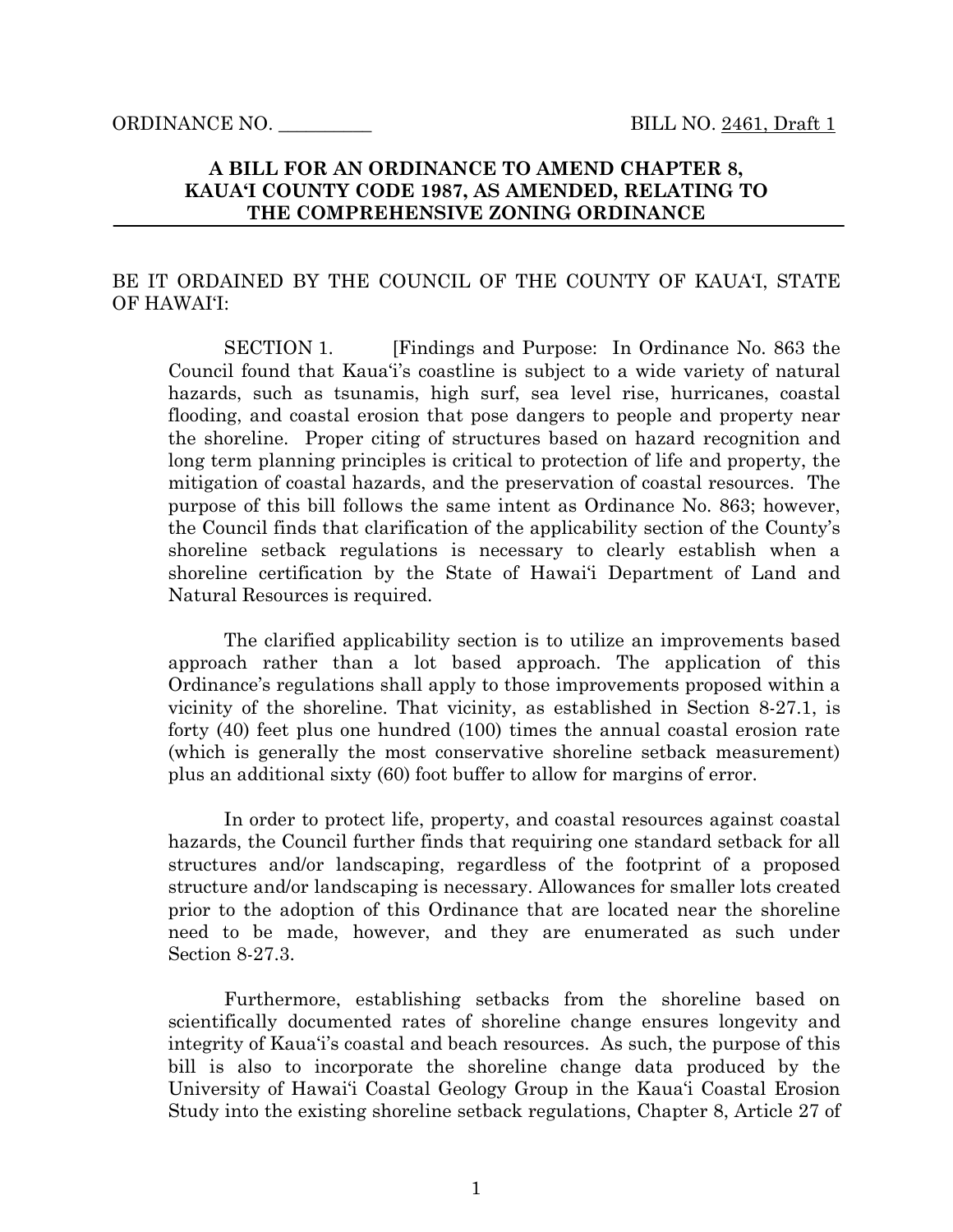ORDINANCE NO. \_\_\_\_\_\_\_\_\_\_ BILL NO. 2461, Draft 1

# **A BILL FOR AN ORDINANCE TO AMEND CHAPTER 8, KAUA'I COUNTY CODE 1987, AS AMENDED, RELATING TO THE COMPREHENSIVE ZONING ORDINANCE**

# BE IT ORDAINED BY THE COUNCIL OF THE COUNTY OF KAUA'I, STATE OF HAWAI'I:

SECTION 1. [Findings and Purpose: In Ordinance No. 863 the Council found that Kaua'i's coastline is subject to a wide variety of natural hazards, such as tsunamis, high surf, sea level rise, hurricanes, coastal flooding, and coastal erosion that pose dangers to people and property near the shoreline. Proper citing of structures based on hazard recognition and long term planning principles is critical to protection of life and property, the mitigation of coastal hazards, and the preservation of coastal resources. The purpose of this bill follows the same intent as Ordinance No. 863; however, the Council finds that clarification of the applicability section of the County's shoreline setback regulations is necessary to clearly establish when a shoreline certification by the State of Hawai'i Department of Land and Natural Resources is required.

The clarified applicability section is to utilize an improvements based approach rather than a lot based approach. The application of this Ordinance's regulations shall apply to those improvements proposed within a vicinity of the shoreline. That vicinity, as established in Section 8-27.1, is forty (40) feet plus one hundred (100) times the annual coastal erosion rate (which is generally the most conservative shoreline setback measurement) plus an additional sixty (60) foot buffer to allow for margins of error.

In order to protect life, property, and coastal resources against coastal hazards, the Council further finds that requiring one standard setback for all structures and/or landscaping, regardless of the footprint of a proposed structure and/or landscaping is necessary. Allowances for smaller lots created prior to the adoption of this Ordinance that are located near the shoreline need to be made, however, and they are enumerated as such under Section 8-27.3.

Furthermore, establishing setbacks from the shoreline based on scientifically documented rates of shoreline change ensures longevity and integrity of Kaua'i's coastal and beach resources. As such, the purpose of this bill is also to incorporate the shoreline change data produced by the University of Hawai'i Coastal Geology Group in the Kaua'i Coastal Erosion Study into the existing shoreline setback regulations, Chapter 8, Article 27 of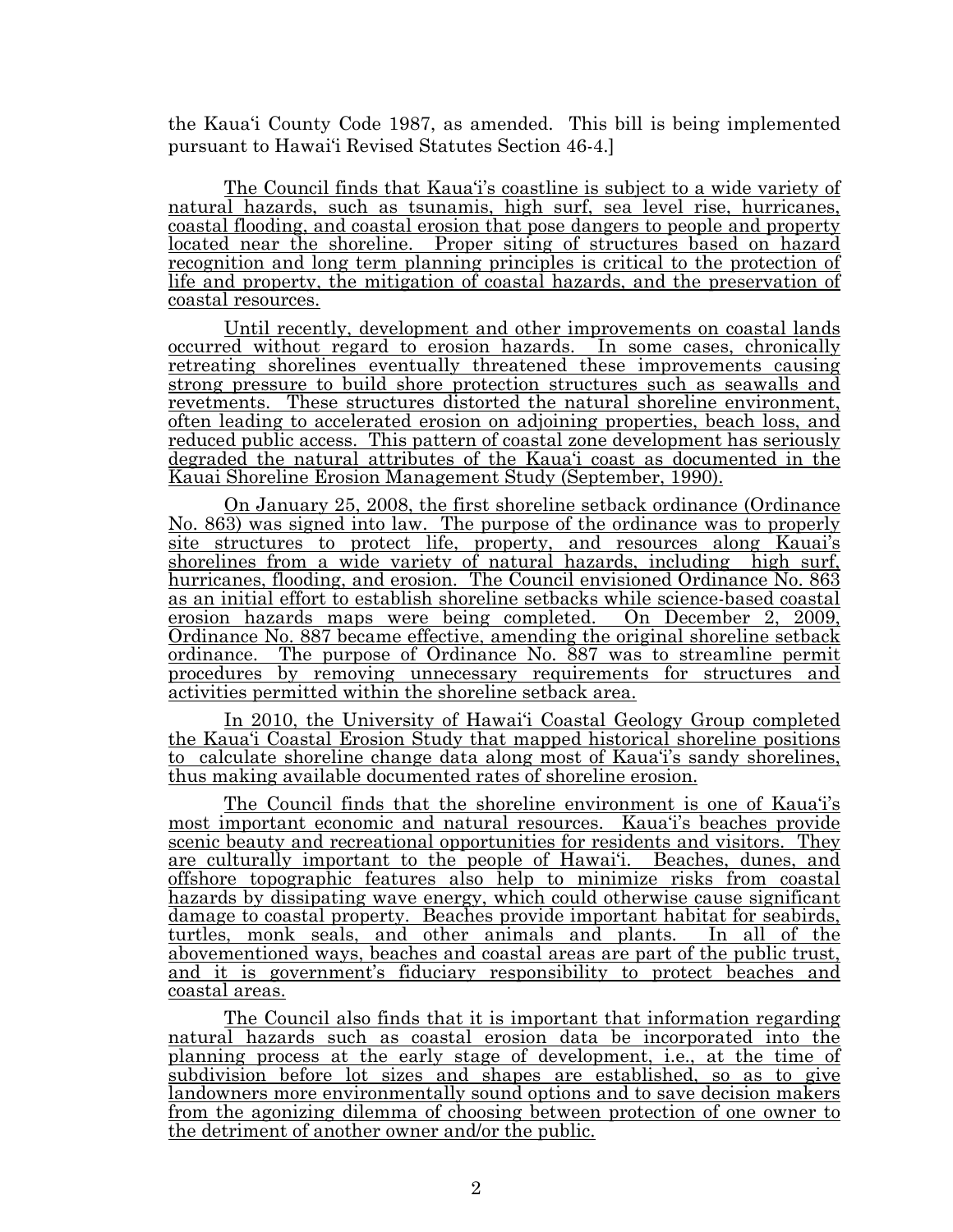the Kaua'i County Code 1987, as amended. This bill is being implemented pursuant to Hawai'i Revised Statutes Section 46-4.]

The Council finds that Kaua'i's coastline is subject to a wide variety of natural hazards, such as tsunamis, high surf, sea level rise, hurricanes, coastal flooding, and coastal erosion that pose dangers to people and property located near the shoreline. Proper siting of structures based on hazard recognition and long term planning principles is critical to the protection of life and property, the mitigation of coastal hazards, and the preservation of coastal resources.

Until recently, development and other improvements on coastal lands occurred without regard to erosion hazards. In some cases, chronically retreating shorelines eventually threatened these improvements causing strong pressure to build shore protection structures such as seawalls and revetments. These structures distorted the natural shoreline environment, often leading to accelerated erosion on adjoining properties, beach loss, and reduced public access. This pattern of coastal zone development has seriously degraded the natural attributes of the Kaua'i coast as documented in the Kauai Shoreline Erosion Management Study (September, 1990).

On January 25, 2008, the first shoreline setback ordinance (Ordinance No. 863) was signed into law. The purpose of the ordinance was to properly site structures to protect life, property, and resources along Kauai's shorelines from a wide variety of natural hazards, including high surf, hurricanes, flooding, and erosion. The Council envisioned Ordinance No. 863 as an initial effort to establish shoreline setbacks while science-based coastal erosion hazards maps were being completed. On December 2, 2009, Ordinance No. 887 became effective, amending the original shoreline setback ordinance. The purpose of Ordinance No. 887 was to streamline permit procedures by removing unnecessary requirements for structures and activities permitted within the shoreline setback area.

In 2010, the University of Hawai'i Coastal Geology Group completed the Kaua'i Coastal Erosion Study that mapped historical shoreline positions to calculate shoreline change data along most of Kaua'i's sandy shorelines, thus making available documented rates of shoreline erosion.

The Council finds that the shoreline environment is one of Kaua'i's most important economic and natural resources. Kaua'i's beaches provide scenic beauty and recreational opportunities for residents and visitors. They are culturally important to the people of Hawai'i. Beaches, dunes, and offshore topographic features also help to minimize risks from coastal hazards by dissipating wave energy, which could otherwise cause significant damage to coastal property. Beaches provide important habitat for seabirds, turtles, monk seals, and other animals and plants. In all of the abovementioned ways, beaches and coastal areas are part of the public trust, and it is government's fiduciary responsibility to protect beaches and coastal areas.

The Council also finds that it is important that information regarding natural hazards such as coastal erosion data be incorporated into the planning process at the early stage of development, i.e., at the time of subdivision before lot sizes and shapes are established, so as to give landowners more environmentally sound options and to save decision makers from the agonizing dilemma of choosing between protection of one owner to the detriment of another owner and/or the public.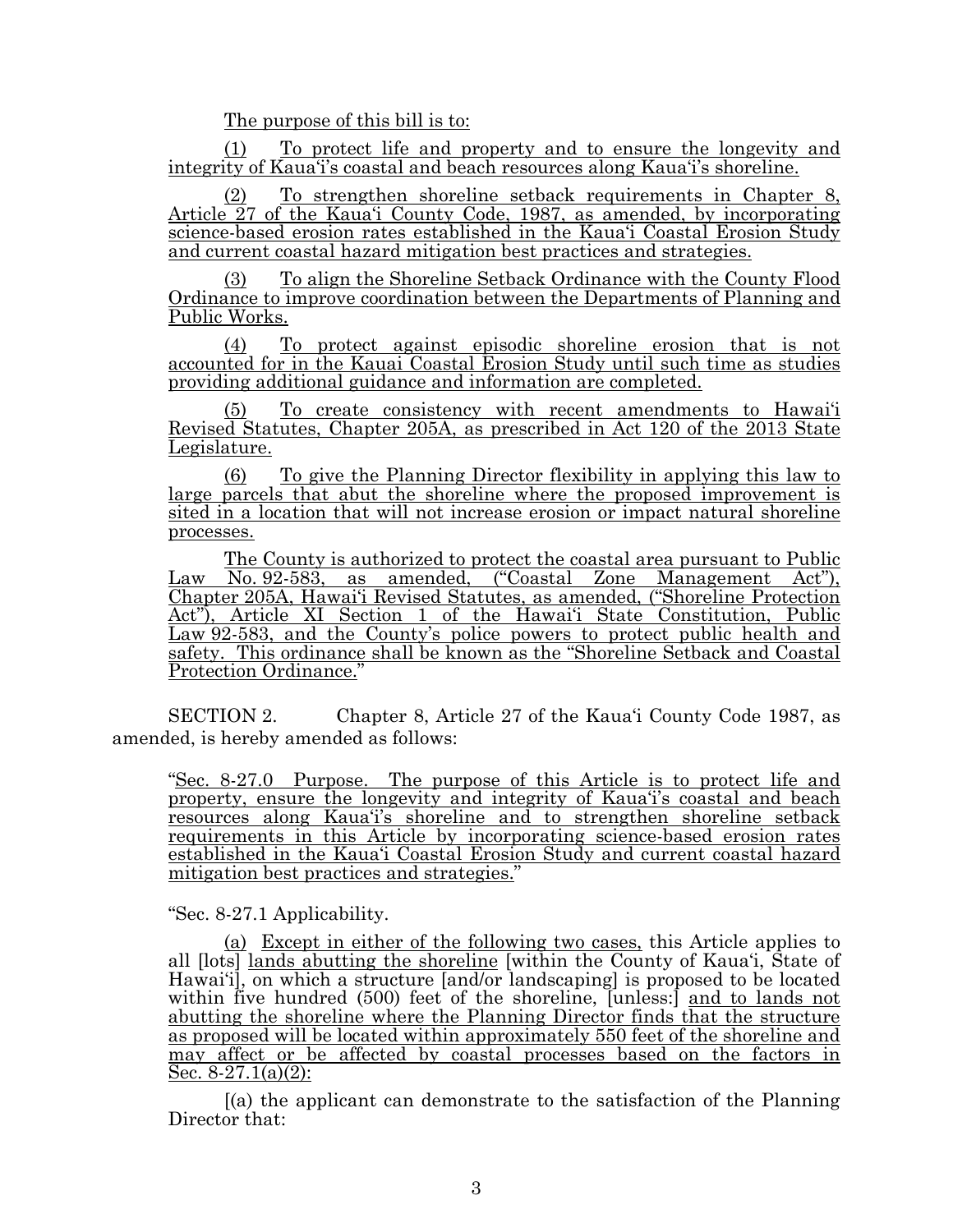The purpose of this bill is to:

(1) To protect life and property and to ensure the longevity and integrity of Kaua'i's coastal and beach resources along Kaua'i's shoreline.

(2) To strengthen shoreline setback requirements in Chapter 8, Article 27 of the Kaua'i County Code, 1987, as amended, by incorporating science-based erosion rates established in the Kaua'i Coastal Erosion Study and current coastal hazard mitigation best practices and strategies.

(3) To align the Shoreline Setback Ordinance with the County Flood Ordinance to improve coordination between the Departments of Planning and Public Works.

(4) To protect against episodic shoreline erosion that is not accounted for in the Kauai Coastal Erosion Study until such time as studies providing additional guidance and information are completed.

(5) To create consistency with recent amendments to Hawai'i Revised Statutes, Chapter 205A, as prescribed in Act 120 of the 2013 State Legislature.

(6) To give the Planning Director flexibility in applying this law to large parcels that abut the shoreline where the proposed improvement is sited in a location that will not increase erosion or impact natural shoreline processes.

The County is authorized to protect the coastal area pursuant to Public Law No. 92-583, as amended, ("Coastal Zone Management Act"), Chapter 205A, Hawai'i Revised Statutes, as amended, ("Shoreline Protection Act"), Article XI Section 1 of the Hawai'i State Constitution, Public Law 92-583, and the County's police powers to protect public health and safety. This ordinance shall be known as the "Shoreline Setback and Coastal Protection Ordinance."

SECTION 2. Chapter 8, Article 27 of the Kaua'i County Code 1987, as amended, is hereby amended as follows:

"Sec. 8-27.0 Purpose. The purpose of this Article is to protect life and property, ensure the longevity and integrity of Kaua'i's coastal and beach resources along Kaua'i's shoreline and to strengthen shoreline setback requirements in this Article by incorporating science-based erosion rates established in the Kaua'i Coastal Erosion Study and current coastal hazard mitigation best practices and strategies."

"Sec. 8-27.1 Applicability.

(a) Except in either of the following two cases, this Article applies to all [lots] lands abutting the shoreline [within the County of Kaua'i, State of Hawai'i], on which a structure [and/or landscaping] is proposed to be located within five hundred (500) feet of the shoreline, [unless:] and to lands not abutting the shoreline where the Planning Director finds that the structure as proposed will be located within approximately 550 feet of the shoreline and may affect or be affected by coastal processes based on the factors in Sec.  $8-27.1(a)(2)$ :

[(a) the applicant can demonstrate to the satisfaction of the Planning Director that: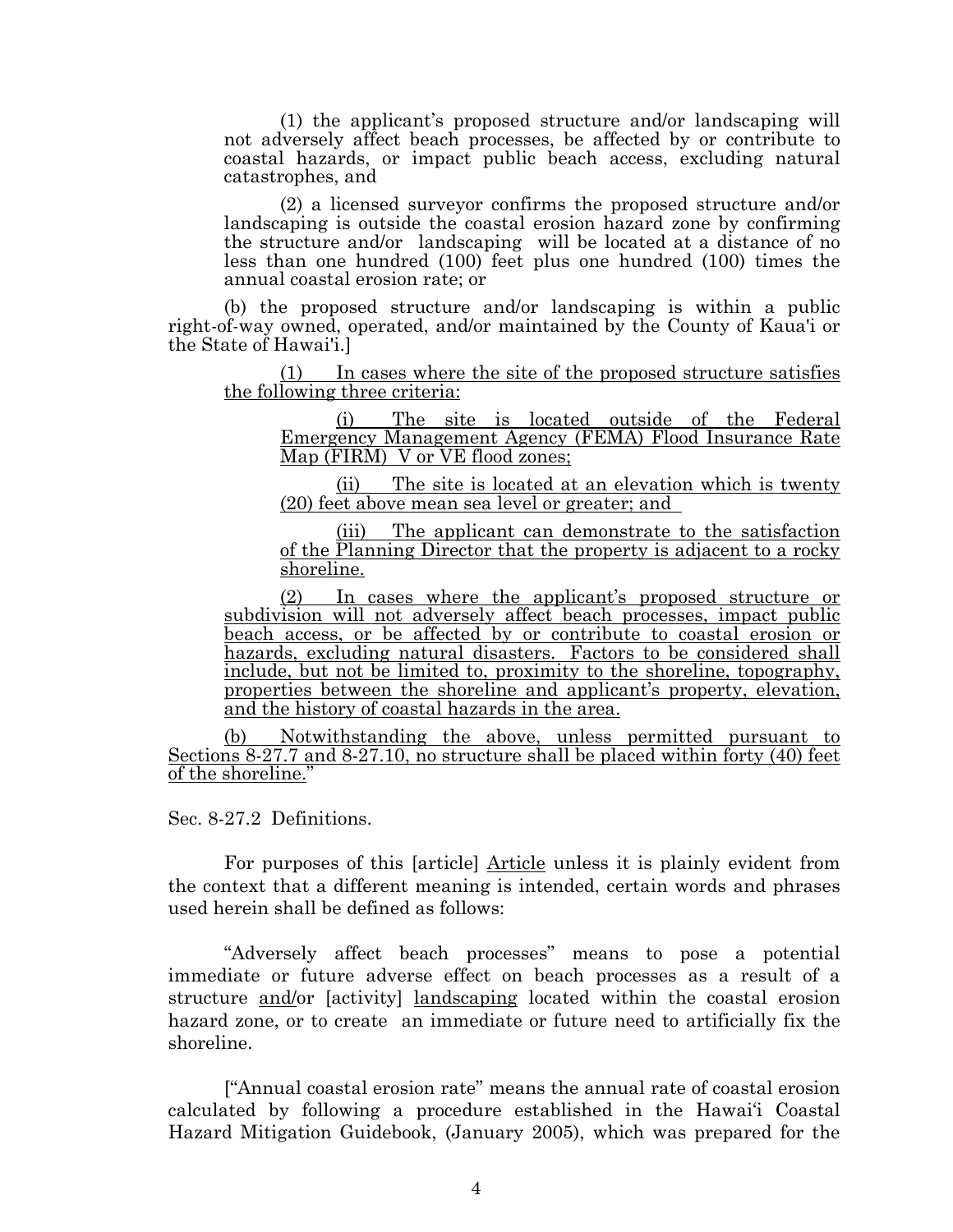(1) the applicant's proposed structure and/or landscaping will not adversely affect beach processes, be affected by or contribute to coastal hazards, or impact public beach access, excluding natural catastrophes, and

(2) a licensed surveyor confirms the proposed structure and/or landscaping is outside the coastal erosion hazard zone by confirming the structure and/or landscaping will be located at a distance of no less than one hundred (100) feet plus one hundred (100) times the annual coastal erosion rate; or

(b) the proposed structure and/or landscaping is within a public right-of-way owned, operated, and/or maintained by the County of Kaua'i or the State of Hawai'i.]

(1) In cases where the site of the proposed structure satisfies the following three criteria:

(i) The site is located outside of the Federal Emergency Management Agency (FEMA) Flood Insurance Rate Map (FIRM) V or VE flood zones;

(ii) The site is located at an elevation which is twenty (20) feet above mean sea level or greater; and

(iii) The applicant can demonstrate to the satisfaction of the Planning Director that the property is adjacent to a rocky shoreline.

(2) In cases where the applicant's proposed structure or subdivision will not adversely affect beach processes, impact public beach access, or be affected by or contribute to coastal erosion or hazards, excluding natural disasters. Factors to be considered shall include, but not be limited to, proximity to the shoreline, topography, properties between the shoreline and applicant's property, elevation, and the history of coastal hazards in the area.

(b) Notwithstanding the above, unless permitted pursuant to Sections  $8-27.7$  and  $8-27.10$ , no structure shall be placed within forty (40) feet of the shoreline."

Sec. 8-27.2 Definitions.

For purposes of this [article] Article unless it is plainly evident from the context that a different meaning is intended, certain words and phrases used herein shall be defined as follows:

"Adversely affect beach processes" means to pose a potential immediate or future adverse effect on beach processes as a result of a structure and/or [activity] landscaping located within the coastal erosion hazard zone, or to create an immediate or future need to artificially fix the shoreline.

["Annual coastal erosion rate" means the annual rate of coastal erosion calculated by following a procedure established in the Hawai'i Coastal Hazard Mitigation Guidebook, (January 2005), which was prepared for the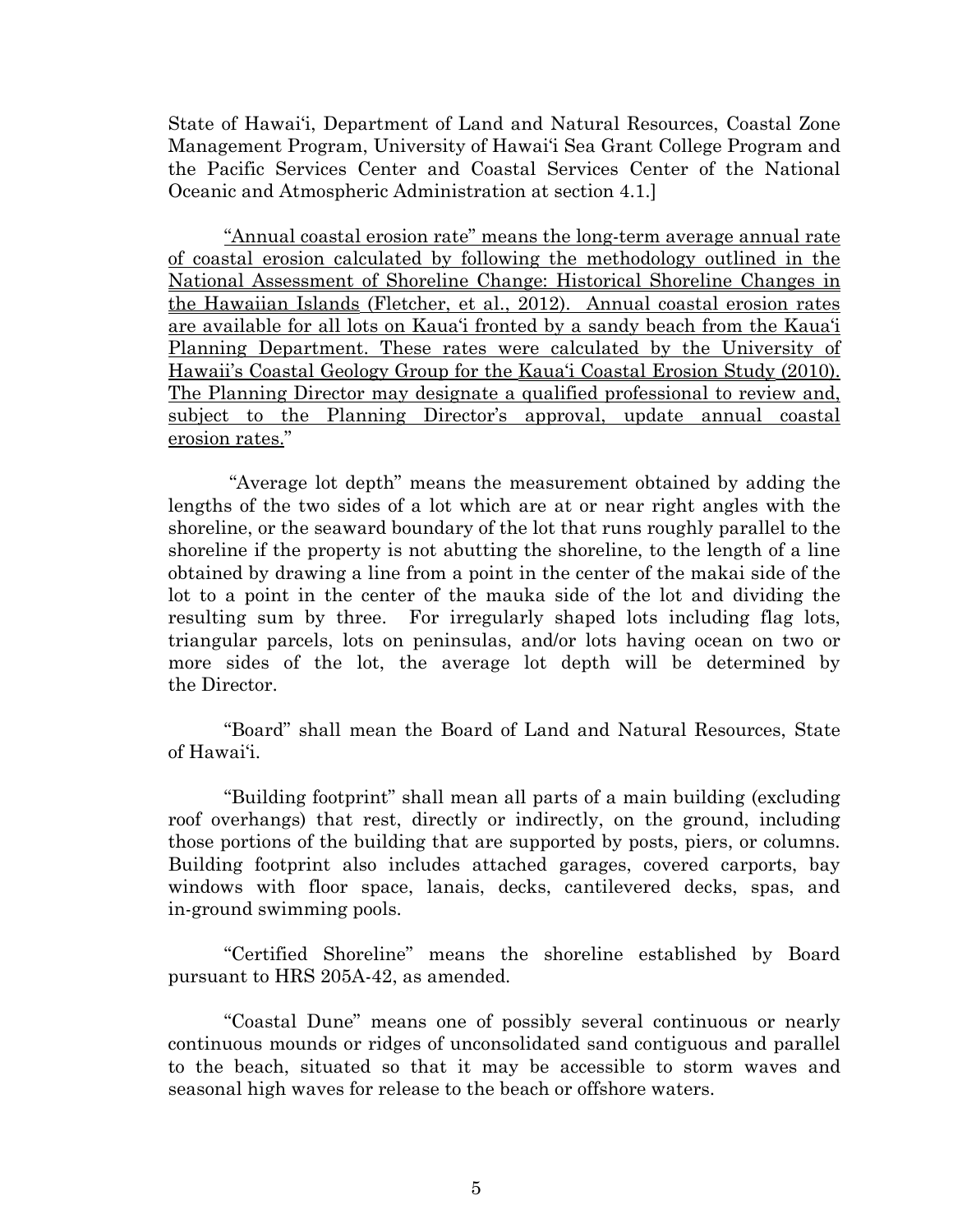State of Hawai'i, Department of Land and Natural Resources, Coastal Zone Management Program, University of Hawai'i Sea Grant College Program and the Pacific Services Center and Coastal Services Center of the National Oceanic and Atmospheric Administration at section 4.1.]

"Annual coastal erosion rate" means the long-term average annual rate of coastal erosion calculated by following the methodology outlined in the National Assessment of Shoreline Change: Historical Shoreline Changes in the Hawaiian Islands (Fletcher, et al., 2012). Annual coastal erosion rates are available for all lots on Kaua'i fronted by a sandy beach from the Kaua'i Planning Department. These rates were calculated by the University of Hawaii's Coastal Geology Group for the Kaua'i Coastal Erosion Study (2010). The Planning Director may designate a qualified professional to review and, subject to the Planning Director's approval, update annual coastal erosion rates."

"Average lot depth" means the measurement obtained by adding the lengths of the two sides of a lot which are at or near right angles with the shoreline, or the seaward boundary of the lot that runs roughly parallel to the shoreline if the property is not abutting the shoreline, to the length of a line obtained by drawing a line from a point in the center of the makai side of the lot to a point in the center of the mauka side of the lot and dividing the resulting sum by three. For irregularly shaped lots including flag lots, triangular parcels, lots on peninsulas, and/or lots having ocean on two or more sides of the lot, the average lot depth will be determined by the Director.

"Board" shall mean the Board of Land and Natural Resources, State of Hawai'i.

"Building footprint" shall mean all parts of a main building (excluding roof overhangs) that rest, directly or indirectly, on the ground, including those portions of the building that are supported by posts, piers, or columns. Building footprint also includes attached garages, covered carports, bay windows with floor space, lanais, decks, cantilevered decks, spas, and in-ground swimming pools.

"Certified Shoreline" means the shoreline established by Board pursuant to HRS 205A-42, as amended.

"Coastal Dune" means one of possibly several continuous or nearly continuous mounds or ridges of unconsolidated sand contiguous and parallel to the beach, situated so that it may be accessible to storm waves and seasonal high waves for release to the beach or offshore waters.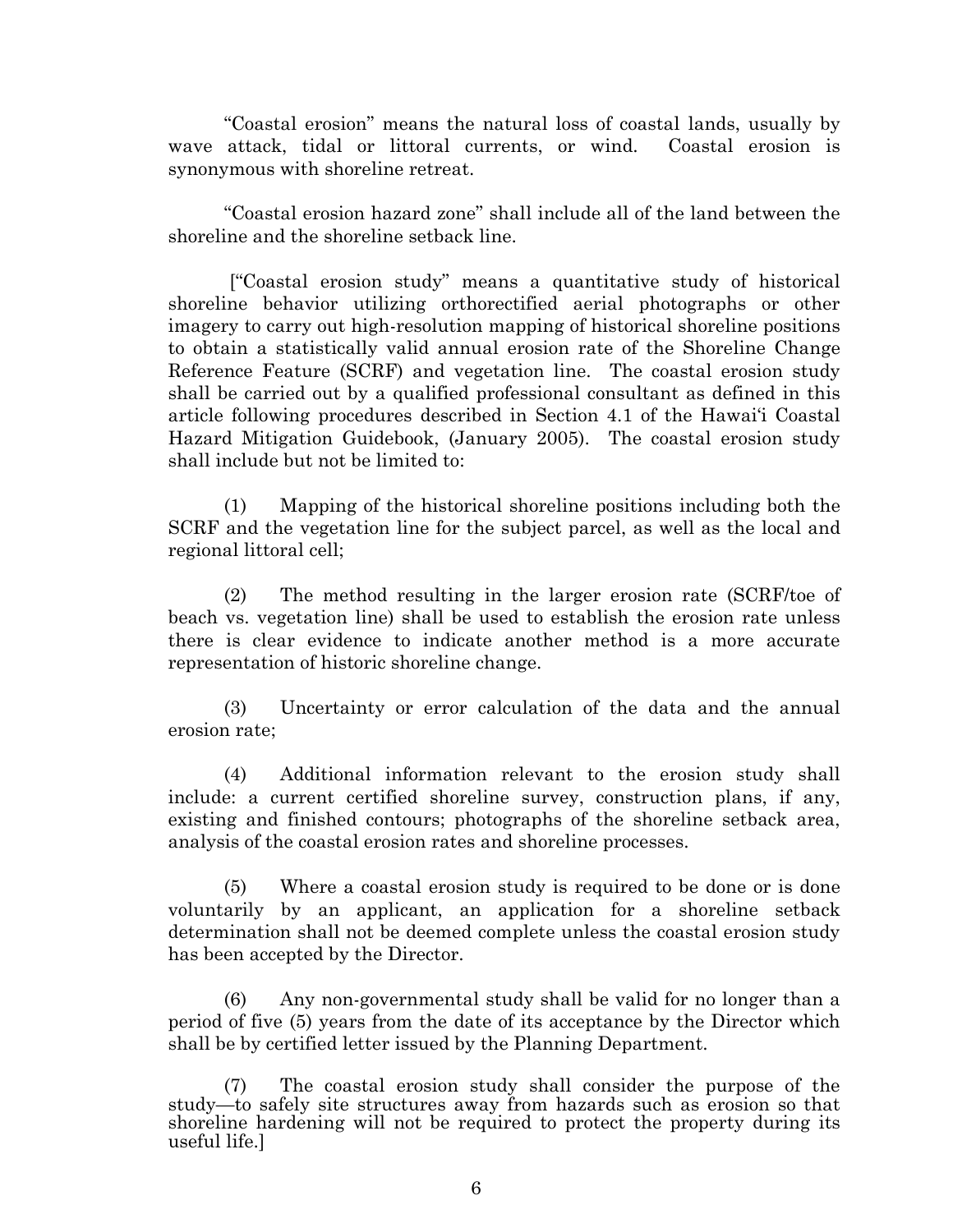"Coastal erosion" means the natural loss of coastal lands, usually by wave attack, tidal or littoral currents, or wind. Coastal erosion is synonymous with shoreline retreat.

"Coastal erosion hazard zone" shall include all of the land between the shoreline and the shoreline setback line.

["Coastal erosion study" means a quantitative study of historical shoreline behavior utilizing orthorectified aerial photographs or other imagery to carry out high-resolution mapping of historical shoreline positions to obtain a statistically valid annual erosion rate of the Shoreline Change Reference Feature (SCRF) and vegetation line. The coastal erosion study shall be carried out by a qualified professional consultant as defined in this article following procedures described in Section 4.1 of the Hawai'i Coastal Hazard Mitigation Guidebook, (January 2005). The coastal erosion study shall include but not be limited to:

(1) Mapping of the historical shoreline positions including both the SCRF and the vegetation line for the subject parcel, as well as the local and regional littoral cell;

(2) The method resulting in the larger erosion rate (SCRF/toe of beach vs. vegetation line) shall be used to establish the erosion rate unless there is clear evidence to indicate another method is a more accurate representation of historic shoreline change.

(3) Uncertainty or error calculation of the data and the annual erosion rate;

(4) Additional information relevant to the erosion study shall include: a current certified shoreline survey, construction plans, if any, existing and finished contours; photographs of the shoreline setback area, analysis of the coastal erosion rates and shoreline processes.

(5) Where a coastal erosion study is required to be done or is done voluntarily by an applicant, an application for a shoreline setback determination shall not be deemed complete unless the coastal erosion study has been accepted by the Director.

(6) Any non-governmental study shall be valid for no longer than a period of five (5) years from the date of its acceptance by the Director which shall be by certified letter issued by the Planning Department.

(7) The coastal erosion study shall consider the purpose of the study—to safely site structures away from hazards such as erosion so that shoreline hardening will not be required to protect the property during its useful life.]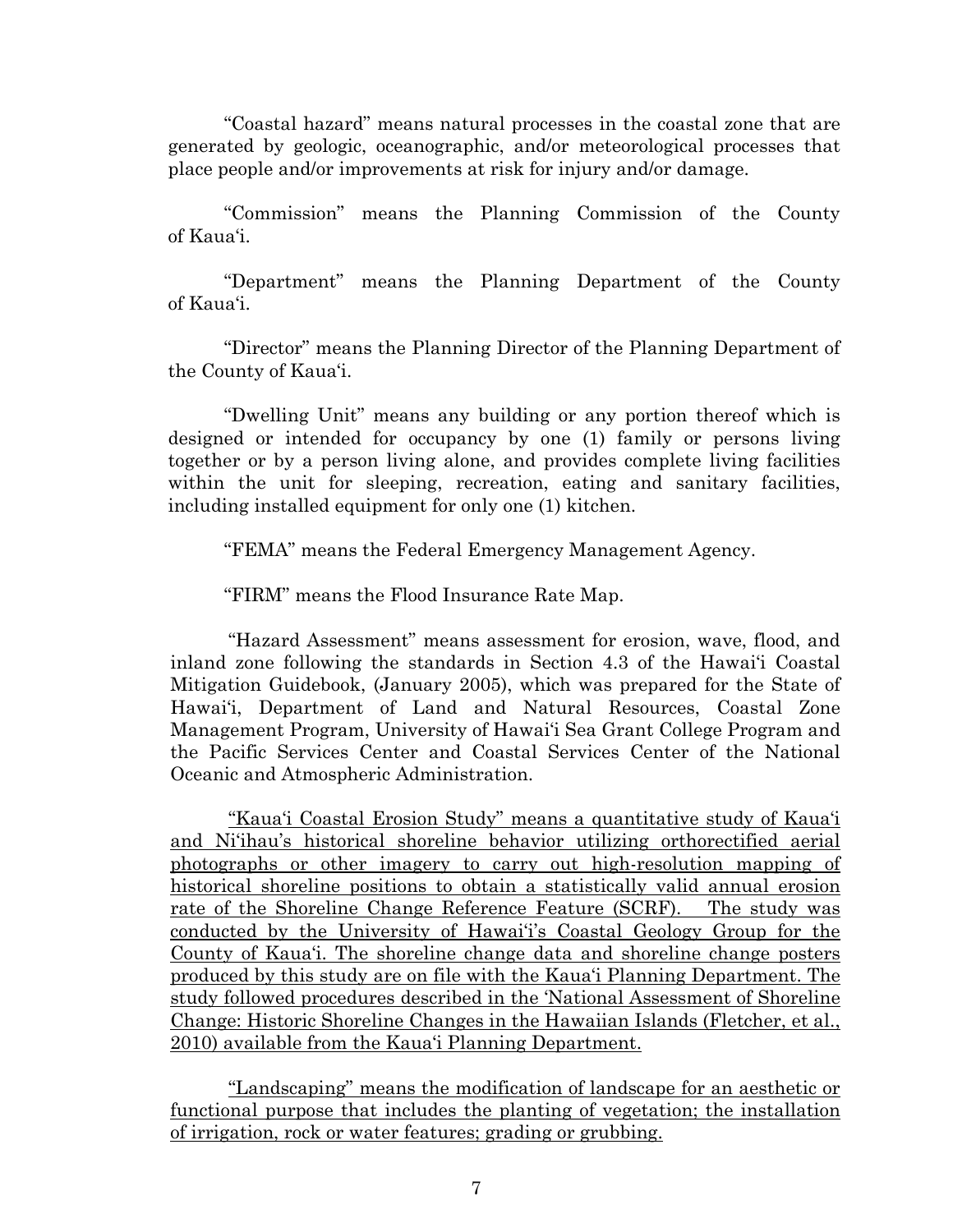"Coastal hazard" means natural processes in the coastal zone that are generated by geologic, oceanographic, and/or meteorological processes that place people and/or improvements at risk for injury and/or damage.

"Commission" means the Planning Commission of the County of Kaua'i.

"Department" means the Planning Department of the County of Kaua'i.

"Director" means the Planning Director of the Planning Department of the County of Kaua'i.

"Dwelling Unit" means any building or any portion thereof which is designed or intended for occupancy by one (1) family or persons living together or by a person living alone, and provides complete living facilities within the unit for sleeping, recreation, eating and sanitary facilities, including installed equipment for only one (1) kitchen.

"FEMA" means the Federal Emergency Management Agency.

"FIRM" means the Flood Insurance Rate Map.

"Hazard Assessment" means assessment for erosion, wave, flood, and inland zone following the standards in Section 4.3 of the Hawai'i Coastal Mitigation Guidebook, (January 2005), which was prepared for the State of Hawai'i, Department of Land and Natural Resources, Coastal Zone Management Program, University of Hawai'i Sea Grant College Program and the Pacific Services Center and Coastal Services Center of the National Oceanic and Atmospheric Administration.

"Kaua'i Coastal Erosion Study" means a quantitative study of Kaua'i and Ni'ihau's historical shoreline behavior utilizing orthorectified aerial photographs or other imagery to carry out high-resolution mapping of historical shoreline positions to obtain a statistically valid annual erosion rate of the Shoreline Change Reference Feature (SCRF). The study was conducted by the University of Hawai'i's Coastal Geology Group for the County of Kaua'i. The shoreline change data and shoreline change posters produced by this study are on file with the Kaua'i Planning Department. The study followed procedures described in the 'National Assessment of Shoreline Change: Historic Shoreline Changes in the Hawaiian Islands (Fletcher, et al., 2010) available from the Kaua'i Planning Department.

"Landscaping" means the modification of landscape for an aesthetic or functional purpose that includes the planting of vegetation; the installation of irrigation, rock or water features; grading or grubbing.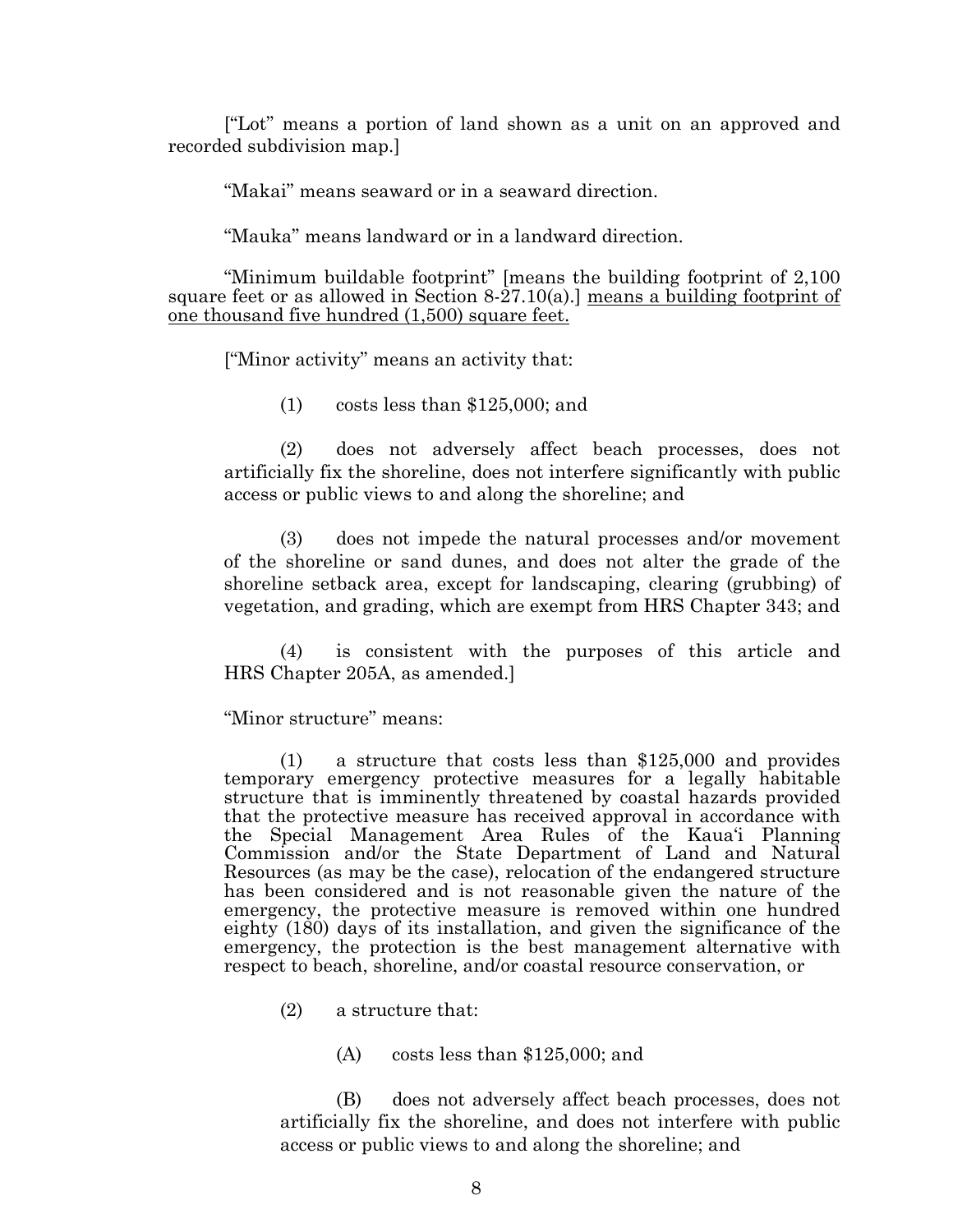["Lot" means a portion of land shown as a unit on an approved and recorded subdivision map.]

"Makai" means seaward or in a seaward direction.

"Mauka" means landward or in a landward direction.

"Minimum buildable footprint" [means the building footprint of 2,100 square feet or as allowed in Section 8-27.10(a).] means a building footprint of one thousand five hundred (1,500) square feet.

["Minor activity" means an activity that:

(1) costs less than \$125,000; and

(2) does not adversely affect beach processes, does not artificially fix the shoreline, does not interfere significantly with public access or public views to and along the shoreline; and

(3) does not impede the natural processes and/or movement of the shoreline or sand dunes, and does not alter the grade of the shoreline setback area, except for landscaping, clearing (grubbing) of vegetation, and grading, which are exempt from HRS Chapter 343; and

(4) is consistent with the purposes of this article and HRS Chapter 205A, as amended.]

"Minor structure" means:

(1) a structure that costs less than \$125,000 and provides temporary emergency protective measures for a legally habitable structure that is imminently threatened by coastal hazards provided that the protective measure has received approval in accordance with the Special Management Area Rules of the Kaua'i Planning Commission and/or the State Department of Land and Natural Resources (as may be the case), relocation of the endangered structure has been considered and is not reasonable given the nature of the emergency, the protective measure is removed within one hundred eighty (180) days of its installation, and given the significance of the emergency, the protection is the best management alternative with respect to beach, shoreline, and/or coastal resource conservation, or

(2) a structure that:

(A) costs less than \$125,000; and

(B) does not adversely affect beach processes, does not artificially fix the shoreline, and does not interfere with public access or public views to and along the shoreline; and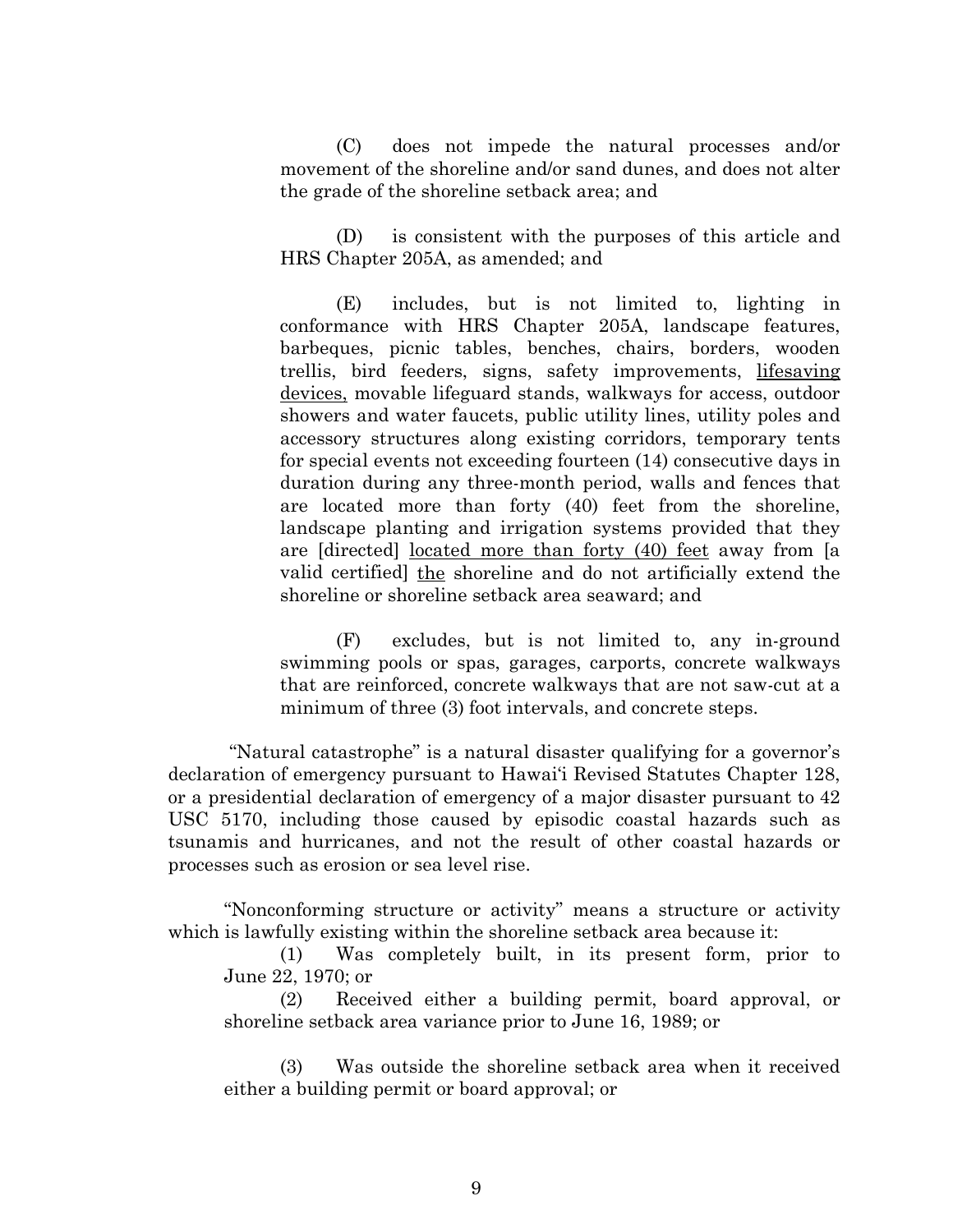(C) does not impede the natural processes and/or movement of the shoreline and/or sand dunes, and does not alter the grade of the shoreline setback area; and

(D) is consistent with the purposes of this article and HRS Chapter 205A, as amended; and

(E) includes, but is not limited to, lighting in conformance with HRS Chapter 205A, landscape features, barbeques, picnic tables, benches, chairs, borders, wooden trellis, bird feeders, signs, safety improvements, lifesaving devices, movable lifeguard stands, walkways for access, outdoor showers and water faucets, public utility lines, utility poles and accessory structures along existing corridors, temporary tents for special events not exceeding fourteen (14) consecutive days in duration during any three-month period, walls and fences that are located more than forty (40) feet from the shoreline, landscape planting and irrigation systems provided that they are [directed] located more than forty (40) feet away from [a valid certified] the shoreline and do not artificially extend the shoreline or shoreline setback area seaward; and

(F) excludes, but is not limited to, any in-ground swimming pools or spas, garages, carports, concrete walkways that are reinforced, concrete walkways that are not saw-cut at a minimum of three (3) foot intervals, and concrete steps.

"Natural catastrophe" is a natural disaster qualifying for a governor's declaration of emergency pursuant to Hawai'i Revised Statutes Chapter 128, or a presidential declaration of emergency of a major disaster pursuant to 42 USC 5170, including those caused by episodic coastal hazards such as tsunamis and hurricanes, and not the result of other coastal hazards or processes such as erosion or sea level rise.

"Nonconforming structure or activity" means a structure or activity which is lawfully existing within the shoreline setback area because it:

(1) Was completely built, in its present form, prior to June 22, 1970; or

(2) Received either a building permit, board approval, or shoreline setback area variance prior to June 16, 1989; or

(3) Was outside the shoreline setback area when it received either a building permit or board approval; or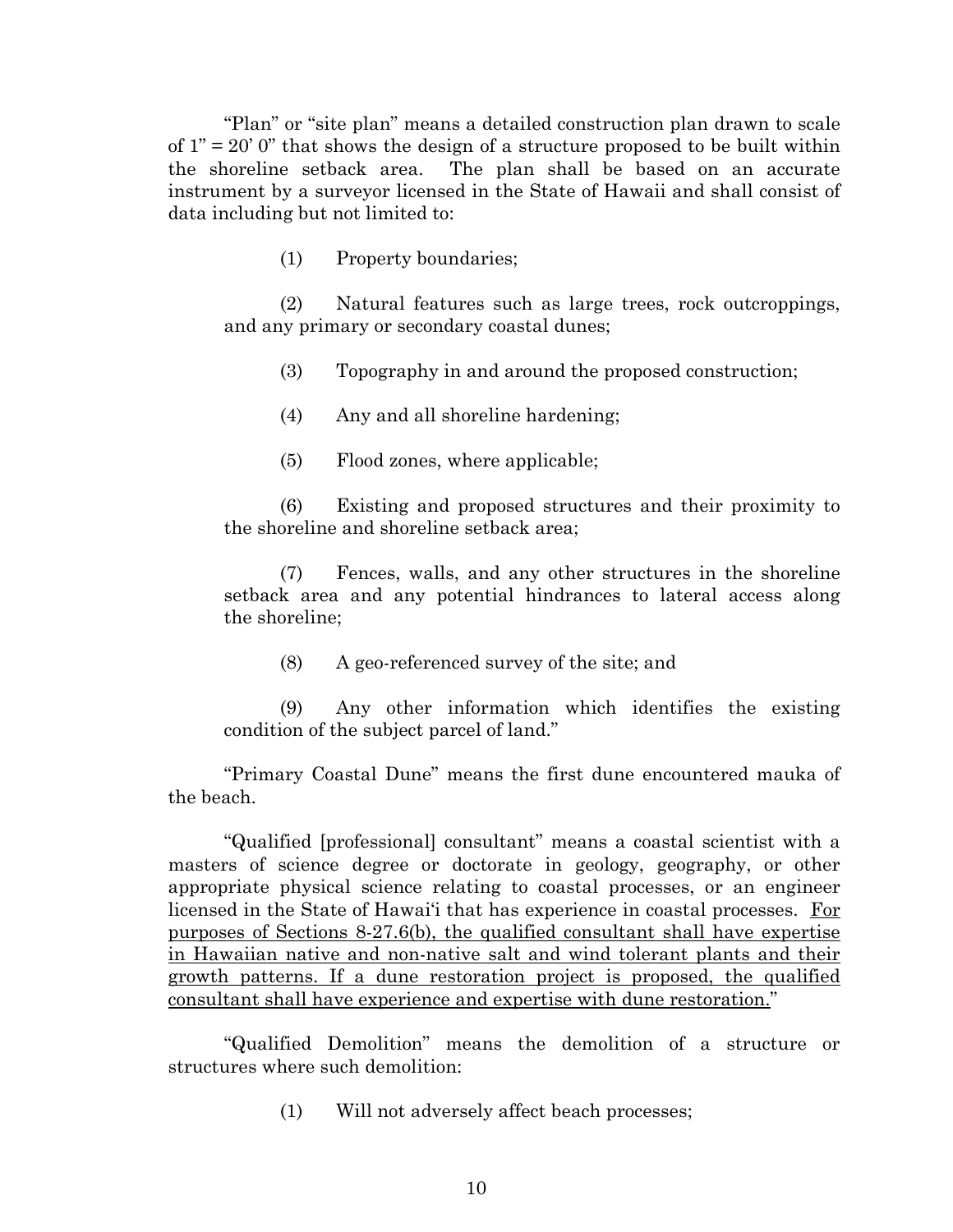"Plan" or "site plan" means a detailed construction plan drawn to scale of  $1" = 20'$  0" that shows the design of a structure proposed to be built within the shoreline setback area. The plan shall be based on an accurate instrument by a surveyor licensed in the State of Hawaii and shall consist of data including but not limited to:

(1) Property boundaries;

(2) Natural features such as large trees, rock outcroppings, and any primary or secondary coastal dunes;

(3) Topography in and around the proposed construction;

(4) Any and all shoreline hardening;

(5) Flood zones, where applicable;

(6) Existing and proposed structures and their proximity to the shoreline and shoreline setback area;

(7) Fences, walls, and any other structures in the shoreline setback area and any potential hindrances to lateral access along the shoreline;

(8) A geo-referenced survey of the site; and

(9) Any other information which identifies the existing condition of the subject parcel of land."

"Primary Coastal Dune" means the first dune encountered mauka of the beach.

"Qualified [professional] consultant" means a coastal scientist with a masters of science degree or doctorate in geology, geography, or other appropriate physical science relating to coastal processes, or an engineer licensed in the State of Hawai'i that has experience in coastal processes. For purposes of Sections 8-27.6(b), the qualified consultant shall have expertise in Hawaiian native and non-native salt and wind tolerant plants and their growth patterns. If a dune restoration project is proposed, the qualified consultant shall have experience and expertise with dune restoration."

"Qualified Demolition" means the demolition of a structure or structures where such demolition:

(1) Will not adversely affect beach processes;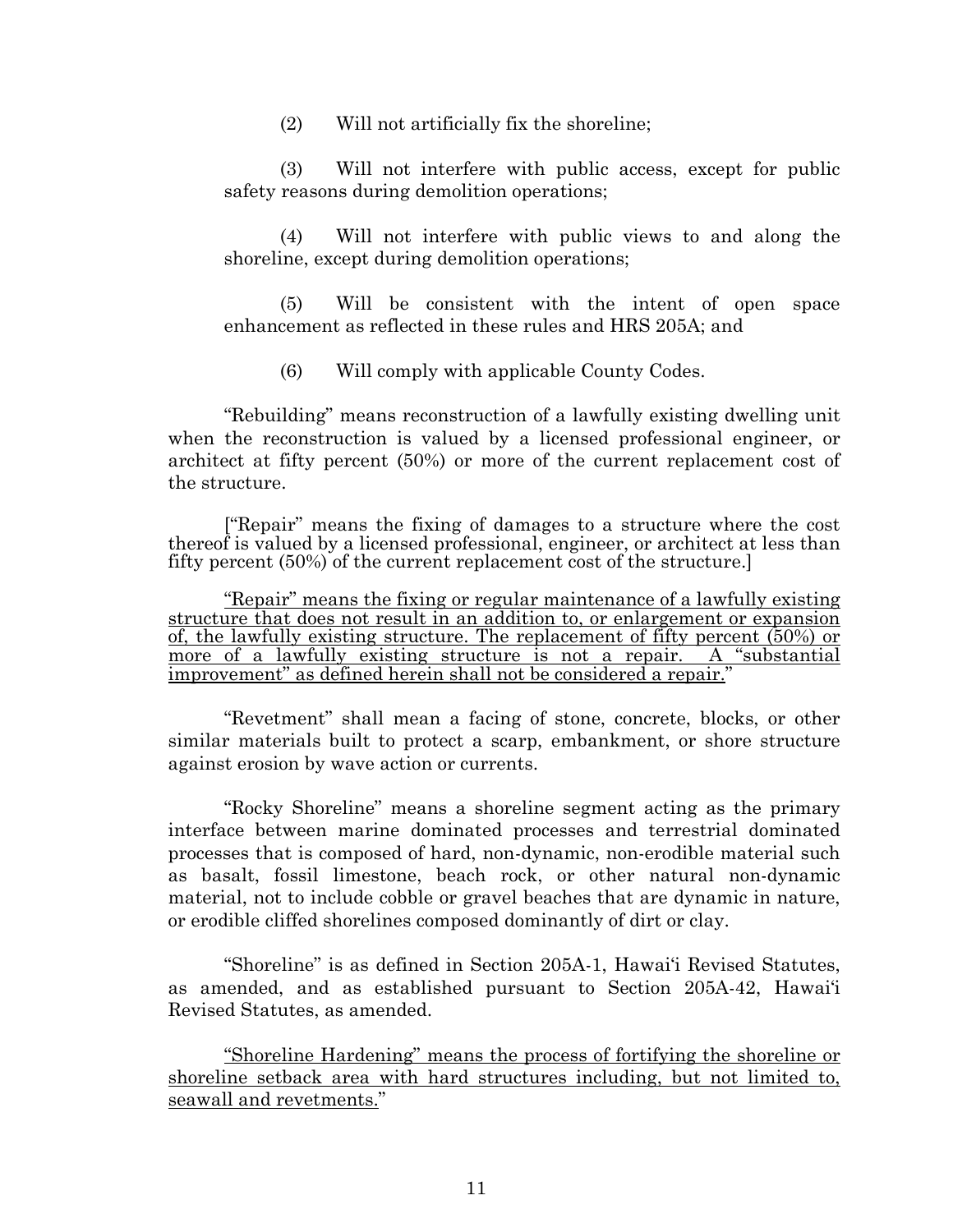(2) Will not artificially fix the shoreline;

(3) Will not interfere with public access, except for public safety reasons during demolition operations;

(4) Will not interfere with public views to and along the shoreline, except during demolition operations;

(5) Will be consistent with the intent of open space enhancement as reflected in these rules and HRS 205A; and

(6) Will comply with applicable County Codes.

"Rebuilding" means reconstruction of a lawfully existing dwelling unit when the reconstruction is valued by a licensed professional engineer, or architect at fifty percent (50%) or more of the current replacement cost of the structure.

["Repair" means the fixing of damages to a structure where the cost thereof is valued by a licensed professional, engineer, or architect at less than fifty percent (50%) of the current replacement cost of the structure.]

"Repair" means the fixing or regular maintenance of a lawfully existing structure that does not result in an addition to, or enlargement or expansion of, the lawfully existing structure. The replacement of fifty percent  $(50\%)$  or more of a lawfully existing structure is not a repair. A "substantial" more of a lawfully existing structure is not a repair. A "substantial improvement" as defined herein shall not be considered a repair."

"Revetment" shall mean a facing of stone, concrete, blocks, or other similar materials built to protect a scarp, embankment, or shore structure against erosion by wave action or currents.

"Rocky Shoreline" means a shoreline segment acting as the primary interface between marine dominated processes and terrestrial dominated processes that is composed of hard, non-dynamic, non-erodible material such as basalt, fossil limestone, beach rock, or other natural non-dynamic material, not to include cobble or gravel beaches that are dynamic in nature, or erodible cliffed shorelines composed dominantly of dirt or clay.

"Shoreline" is as defined in Section 205A-1, Hawai'i Revised Statutes, as amended, and as established pursuant to Section 205A-42, Hawai'i Revised Statutes, as amended.

"Shoreline Hardening" means the process of fortifying the shoreline or shoreline setback area with hard structures including, but not limited to, seawall and revetments."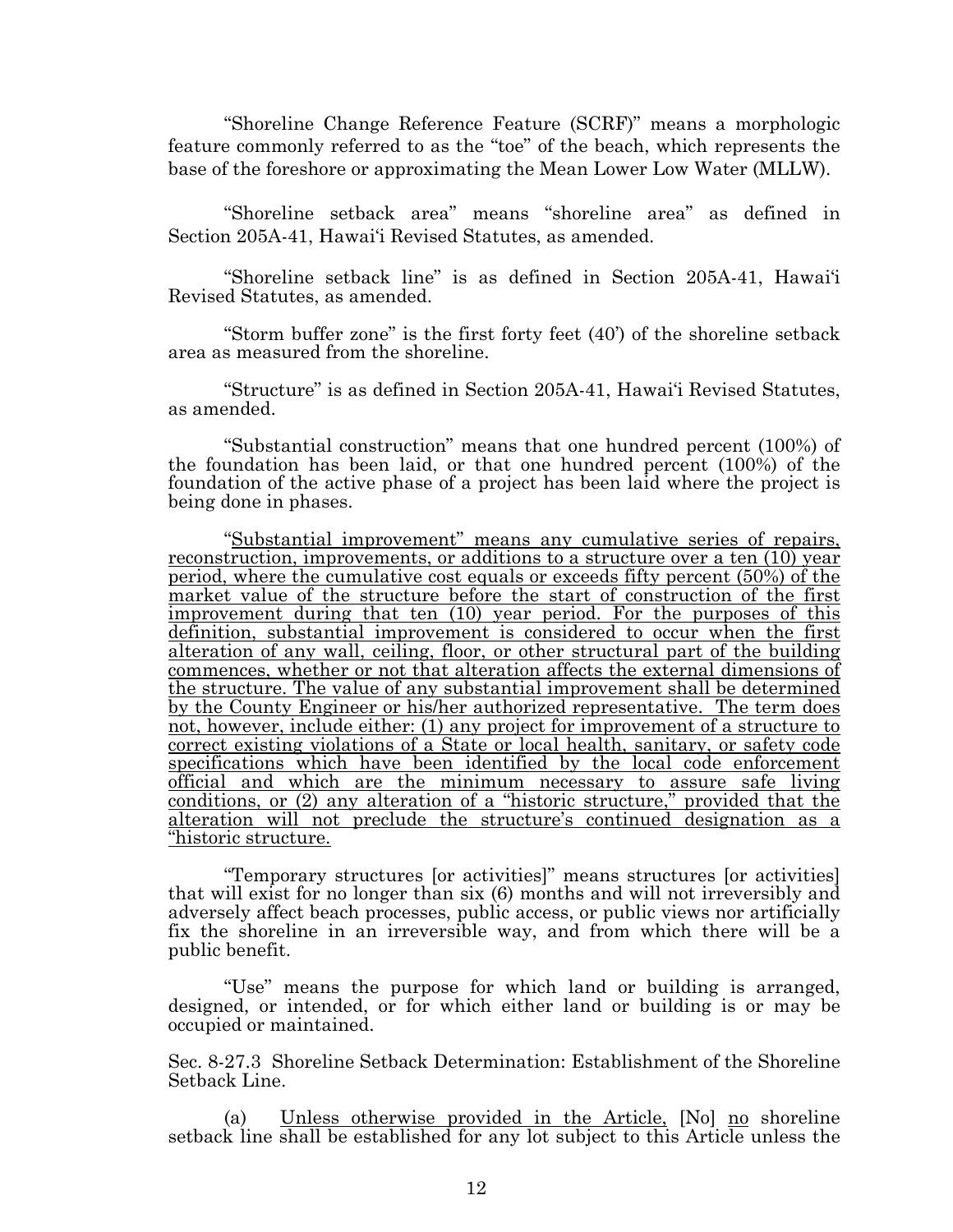"Shoreline Change Reference Feature (SCRF)" means a morphologic feature commonly referred to as the "toe" of the beach, which represents the base of the foreshore or approximating the Mean Lower Low Water (MLLW).

"Shoreline setback area" means "shoreline area" as defined in Section 205A-41, Hawai'i Revised Statutes, as amended.

"Shoreline setback line" is as defined in Section 205A-41, Hawai'i Revised Statutes, as amended.

"Storm buffer zone" is the first forty feet (40') of the shoreline setback area as measured from the shoreline.

"Structure" is as defined in Section 205A-41, Hawai'i Revised Statutes, as amended.

"Substantial construction" means that one hundred percent (100%) of the foundation has been laid, or that one hundred percent (100%) of the foundation of the active phase of a project has been laid where the project is being done in phases.

"Substantial improvement" means any cumulative series of repairs, reconstruction, improvements, or additions to a structure over a ten (10) year period, where the cumulative cost equals or exceeds fifty percent (50%) of the market value of the structure before the start of construction of the first improvement during that ten (10) year period. For the purposes of this definition, substantial improvement is considered to occur when the first alteration of any wall, ceiling, floor, or other structural part of the building commences, whether or not that alteration affects the external dimensions of the structure. The value of any substantial improvement shall be determined by the County Engineer or his/her authorized representative. The term does not, however, include either: (1) any project for improvement of a structure to correct existing violations of a State or local health, sanitary, or safety code specifications which have been identified by the local code enforcement official and which are the minimum necessary to assure safe living conditions, or (2) any alteration of a "historic structure," provided that the alteration will not preclude the structure's continued designation as a "historic structure.

"Temporary structures [or activities]" means structures [or activities] that will exist for no longer than six (6) months and will not irreversibly and adversely affect beach processes, public access, or public views nor artificially fix the shoreline in an irreversible way, and from which there will be a public benefit.

"Use" means the purpose for which land or building is arranged, designed, or intended, or for which either land or building is or may be occupied or maintained.

Sec. 8-27.3 Shoreline Setback Determination: Establishment of the Shoreline Setback Line.

(a) Unless otherwise provided in the Article, [No] no shoreline setback line shall be established for any lot subject to this Article unless the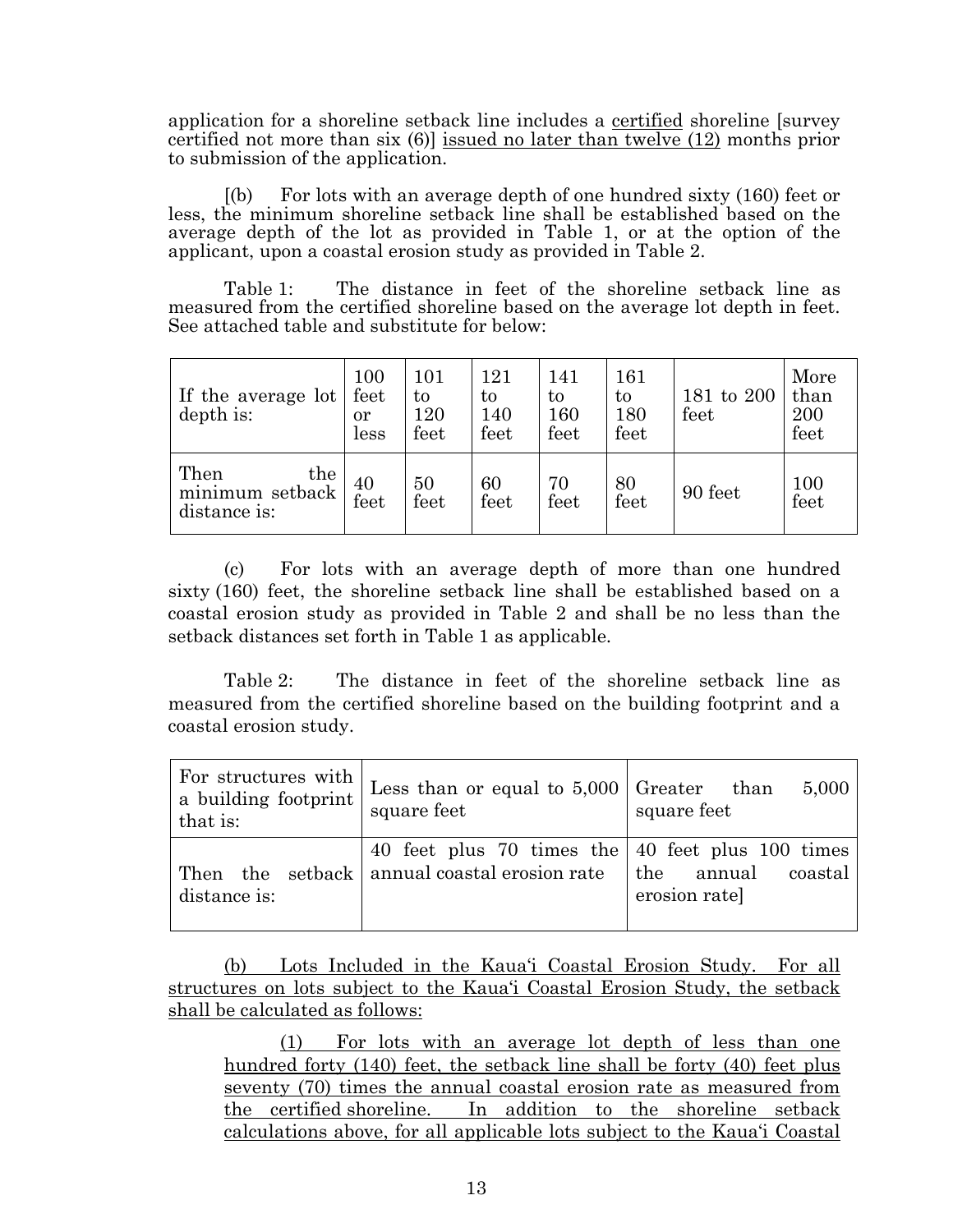application for a shoreline setback line includes a certified shoreline [survey certified not more than six (6)] issued no later than twelve (12) months prior to submission of the application.

[(b) For lots with an average depth of one hundred sixty (160) feet or less, the minimum shoreline setback line shall be established based on the average depth of the lot as provided in Table 1, or at the option of the applicant, upon a coastal erosion study as provided in Table 2.

Table 1: The distance in feet of the shoreline setback line as measured from the certified shoreline based on the average lot depth in feet. See attached table and substitute for below:

| If the average lot<br>depth is:                | 100<br>feet<br>or<br>less | 101<br>to<br>120<br>feet | 121<br>to<br>140<br>feet | 141<br>to<br>160<br>feet | 161<br>to<br>180<br>feet | 181 to 200<br>feet | More<br>than<br>200<br>feet |
|------------------------------------------------|---------------------------|--------------------------|--------------------------|--------------------------|--------------------------|--------------------|-----------------------------|
| Then<br>the<br>minimum setback<br>distance is: | 40<br>feet                | 50<br>feet               | 60<br>feet               | 70<br>feet               | 80<br>feet               | 90 feet            | 100<br>feet                 |

(c) For lots with an average depth of more than one hundred sixty (160) feet, the shoreline setback line shall be established based on a coastal erosion study as provided in Table 2 and shall be no less than the setback distances set forth in Table 1 as applicable.

Table 2: The distance in feet of the shoreline setback line as measured from the certified shoreline based on the building footprint and a coastal erosion study.

| For structures with<br>a building footprint<br>that is: | Less than or equal to $5,000$ Greater than<br>square feet                                          | 5,000<br>square feet                  |
|---------------------------------------------------------|----------------------------------------------------------------------------------------------------|---------------------------------------|
| distance is:                                            | 40 feet plus 70 times the   40 feet plus 100 times<br>Then the setback annual coastal erosion rate | the annual<br>coastal<br>erosion rate |

(b) Lots Included in the Kaua'i Coastal Erosion Study. For all structures on lots subject to the Kaua'i Coastal Erosion Study, the setback shall be calculated as follows:

(1) For lots with an average lot depth of less than one hundred forty (140) feet, the setback line shall be forty (40) feet plus seventy (70) times the annual coastal erosion rate as measured from the certified shoreline. In addition to the shoreline setback calculations above, for all applicable lots subject to the Kaua'i Coastal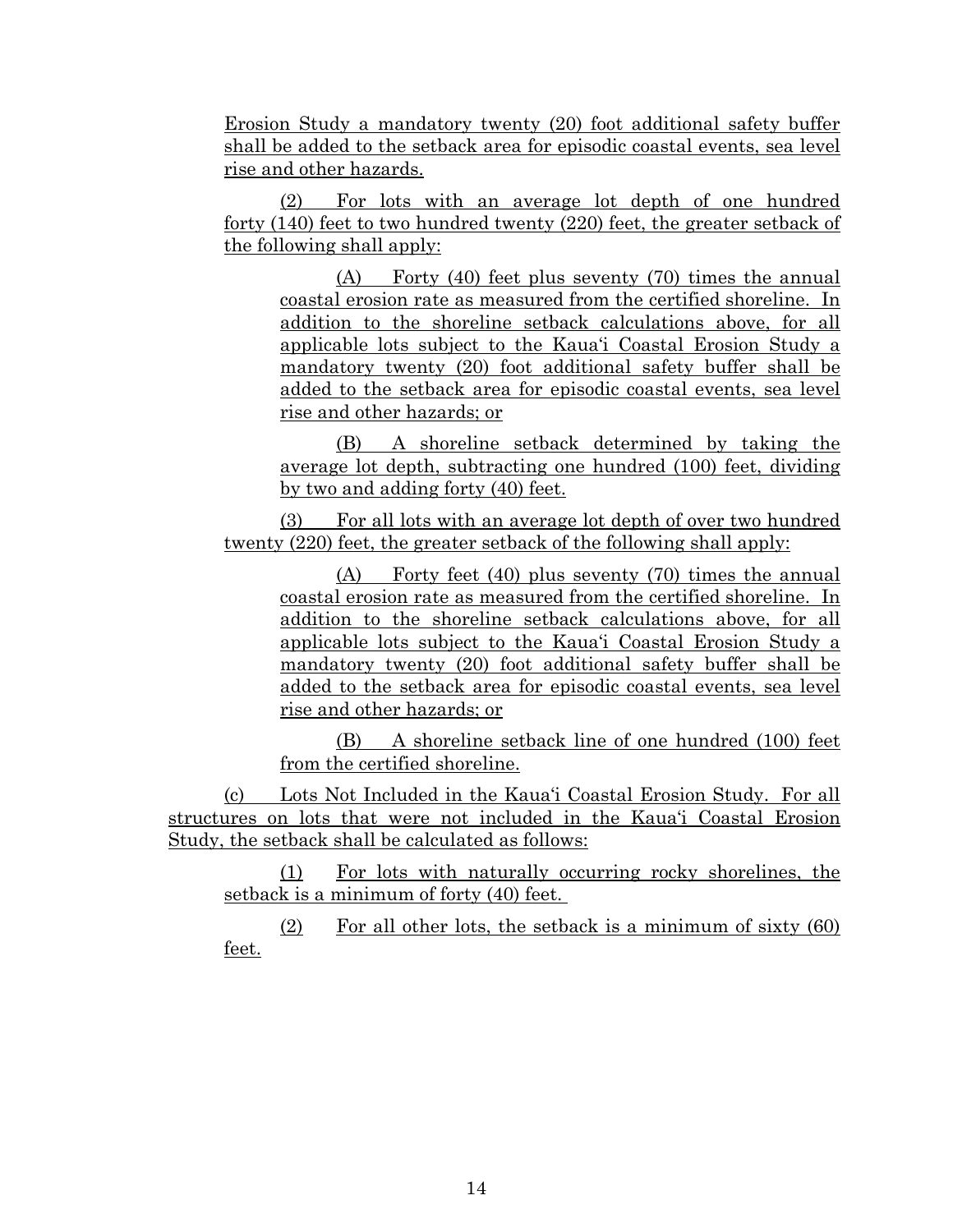Erosion Study a mandatory twenty (20) foot additional safety buffer shall be added to the setback area for episodic coastal events, sea level rise and other hazards.

(2) For lots with an average lot depth of one hundred forty (140) feet to two hundred twenty (220) feet, the greater setback of the following shall apply:

(A) Forty (40) feet plus seventy (70) times the annual coastal erosion rate as measured from the certified shoreline. In addition to the shoreline setback calculations above, for all applicable lots subject to the Kaua'i Coastal Erosion Study a mandatory twenty (20) foot additional safety buffer shall be added to the setback area for episodic coastal events, sea level rise and other hazards; or

(B) A shoreline setback determined by taking the average lot depth, subtracting one hundred (100) feet, dividing by two and adding forty (40) feet.

(3) For all lots with an average lot depth of over two hundred twenty (220) feet, the greater setback of the following shall apply:

(A) Forty feet (40) plus seventy (70) times the annual coastal erosion rate as measured from the certified shoreline. In addition to the shoreline setback calculations above, for all applicable lots subject to the Kaua'i Coastal Erosion Study a mandatory twenty (20) foot additional safety buffer shall be added to the setback area for episodic coastal events, sea level rise and other hazards; or

(B) A shoreline setback line of one hundred (100) feet from the certified shoreline.

(c) Lots Not Included in the Kaua'i Coastal Erosion Study. For all structures on lots that were not included in the Kaua'i Coastal Erosion Study, the setback shall be calculated as follows:

(1) For lots with naturally occurring rocky shorelines, the setback is a minimum of forty (40) feet.

(2) For all other lots, the setback is a minimum of sixty (60) feet.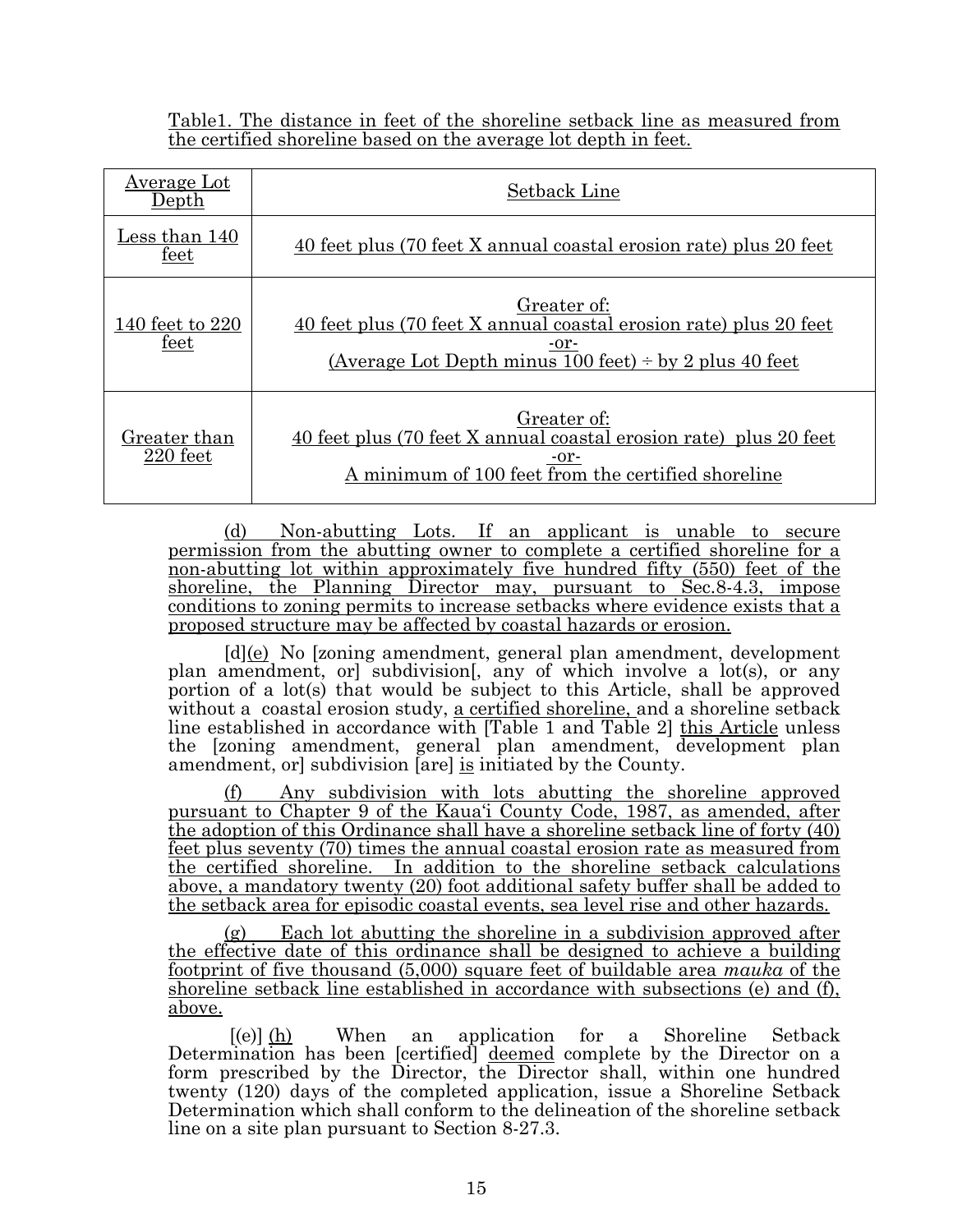Table1. The distance in feet of the shoreline setback line as measured from the certified shoreline based on the average lot depth in feet.

| Average Lot<br>${\rm Depth}$ | Setback Line                                                                                                                                            |
|------------------------------|---------------------------------------------------------------------------------------------------------------------------------------------------------|
| Less than 140<br>feet        | 40 feet plus (70 feet X annual coastal erosion rate) plus 20 feet                                                                                       |
| 140 feet to 220<br>feet      | Greater of:<br>40 feet plus (70 feet X annual coastal erosion rate) plus 20 feet<br>-or-<br>(Average Lot Depth minus 100 feet) $\div$ by 2 plus 40 feet |
| Greater than<br>220 feet     | Greater of:<br>40 feet plus (70 feet X annual coastal erosion rate) plus 20 feet<br>-or-<br>A minimum of 100 feet from the certified shoreline          |

(d) Non-abutting Lots. If an applicant is unable to secure permission from the abutting owner to complete a certified shoreline for a non-abutting lot within approximately five hundred fifty (550) feet of the shoreline, the Planning Director may, pursuant to Sec.8-4.3, impose conditions to zoning permits to increase setbacks where evidence exists that a proposed structure may be affected by coastal hazards or erosion.

[d](e) No [zoning amendment, general plan amendment, development plan amendment, or] subdivision[, any of which involve a lot(s), or any portion of a lot(s) that would be subject to this Article, shall be approved without a coastal erosion study, a certified shoreline, and a shoreline setback line established in accordance with [Table 1 and Table 2] this Article unless the [zoning amendment, general plan amendment, development plan amendment, or subdivision [are] is initiated by the County.

Any subdivision with lots abutting the shoreline approved pursuant to Chapter 9 of the Kaua'i County Code, 1987, as amended, after the adoption of this Ordinance shall have a shoreline setback line of forty (40) feet plus seventy (70) times the annual coastal erosion rate as measured from the certified shoreline. In addition to the shoreline setback calculations above, a mandatory twenty (20) foot additional safety buffer shall be added to the setback area for episodic coastal events, sea level rise and other hazards.

Each lot abutting the shoreline in a subdivision approved after the effective date of this ordinance shall be designed to achieve a building footprint of five thousand (5,000) square feet of buildable area *mauka* of the shoreline setback line established in accordance with subsections (e) and (f), above.

 $[(e)] (h)$  When an application for a Shoreline Setback Determination has been [certified] deemed complete by the Director on a form prescribed by the Director, the Director shall, within one hundred twenty (120) days of the completed application, issue a Shoreline Setback Determination which shall conform to the delineation of the shoreline setback line on a site plan pursuant to Section 8-27.3.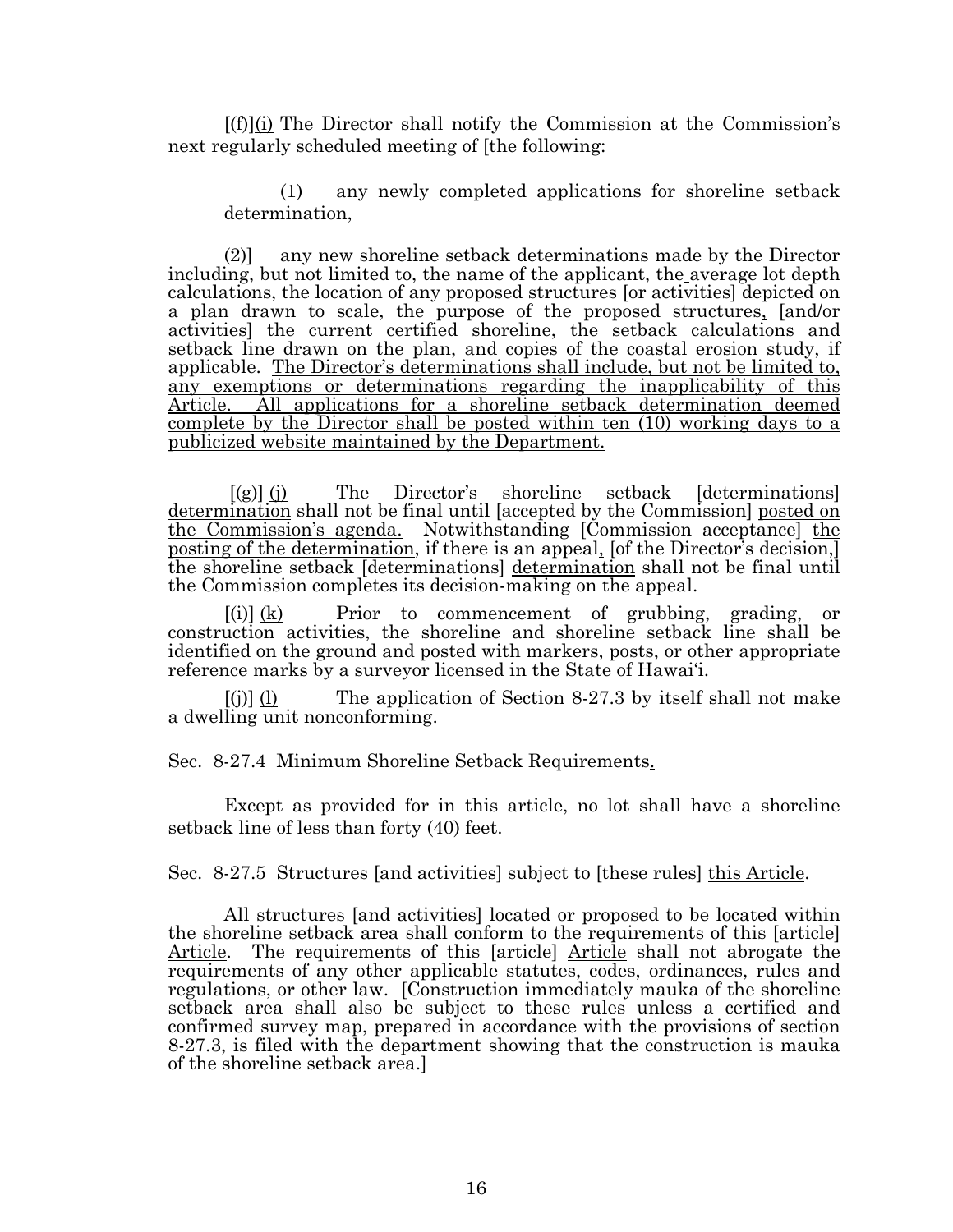$[(f)](i)$  The Director shall notify the Commission at the Commission's next regularly scheduled meeting of [the following:

(1) any newly completed applications for shoreline setback determination,

(2)] any new shoreline setback determinations made by the Director including, but not limited to, the name of the applicant, the average lot depth calculations, the location of any proposed structures [or activities] depicted on a plan drawn to scale, the purpose of the proposed structures, [and/or activities] the current certified shoreline, the setback calculations and setback line drawn on the plan, and copies of the coastal erosion study, if applicable. The Director's determinations shall include, but not be limited to, any exemptions or determinations regarding the inapplicability of this Article. All applications for a shoreline setback determination deemed complete by the Director shall be posted within ten (10) working days to a publicized website maintained by the Department.

 $[(g)]$  (i) The Director's shoreline setback [determinations] determination shall not be final until [accepted by the Commission] posted on the Commission's agenda. Notwithstanding [Commission acceptance] the posting of the determination, if there is an appeal, [of the Director's decision,] the shoreline setback [determinations] determination shall not be final until the Commission completes its decision-making on the appeal.

 $[(i)]$   $(k)$  Prior to commencement of grubbing, grading, or construction activities, the shoreline and shoreline setback line shall be identified on the ground and posted with markers, posts, or other appropriate reference marks by a surveyor licensed in the State of Hawai'i.

 $[{\rm (j)}]$  (1) The application of Section 8-27.3 by itself shall not make a dwelling unit nonconforming.

Sec. 8-27.4 Minimum Shoreline Setback Requirements.

Except as provided for in this article, no lot shall have a shoreline setback line of less than forty (40) feet.

Sec. 8-27.5 Structures [and activities] subject to [these rules] this Article.

All structures [and activities] located or proposed to be located within the shoreline setback area shall conform to the requirements of this [article] Article. The requirements of this [article] Article shall not abrogate the requirements of any other applicable statutes, codes, ordinances, rules and regulations, or other law. [Construction immediately mauka of the shoreline setback area shall also be subject to these rules unless a certified and confirmed survey map, prepared in accordance with the provisions of section 8-27.3, is filed with the department showing that the construction is mauka of the shoreline setback area.]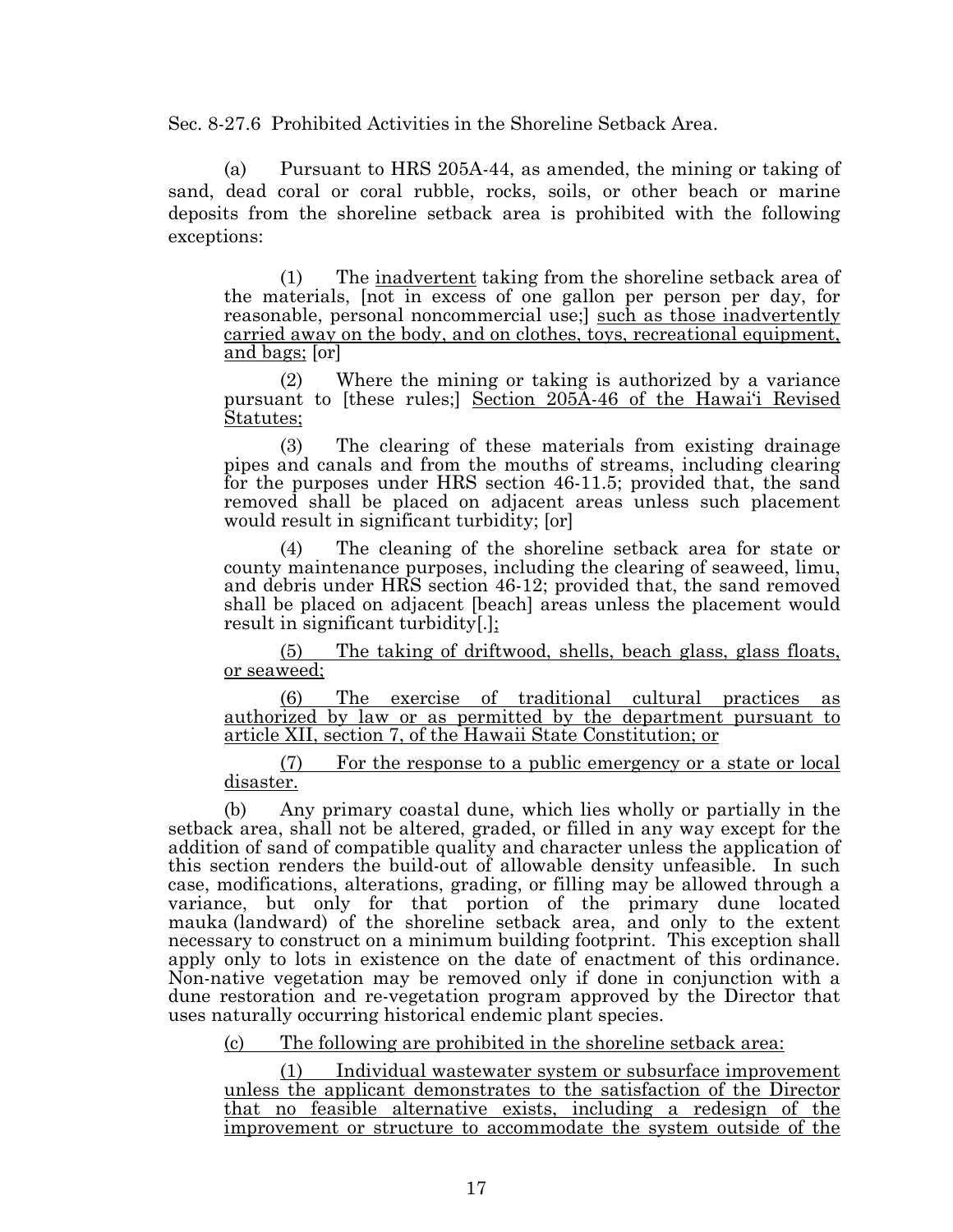Sec. 8-27.6 Prohibited Activities in the Shoreline Setback Area.

(a) Pursuant to HRS 205A-44, as amended, the mining or taking of sand, dead coral or coral rubble, rocks, soils, or other beach or marine deposits from the shoreline setback area is prohibited with the following exceptions:

(1) The inadvertent taking from the shoreline setback area of the materials, [not in excess of one gallon per person per day, for reasonable, personal noncommercial use; such as those inadvertently carried away on the body, and on clothes, toys, recreational equipment, and bags; [or]

(2) Where the mining or taking is authorized by a variance pursuant to [these rules;] Section 205A-46 of the Hawai'i Revised Statutes;

(3) The clearing of these materials from existing drainage pipes and canals and from the mouths of streams, including clearing for the purposes under HRS section 46-11.5; provided that, the sand removed shall be placed on adjacent areas unless such placement would result in significant turbidity; [or]

(4) The cleaning of the shoreline setback area for state or county maintenance purposes, including the clearing of seaweed, limu, and debris under HRS section 46-12; provided that, the sand removed shall be placed on adjacent [beach] areas unless the placement would result in significant turbidity[.];

(5) The taking of driftwood, shells, beach glass, glass floats, or seaweed;

(6) The exercise of traditional cultural practices as authorized by law or as permitted by the department pursuant to article XII, section 7, of the Hawaii State Constitution; or

(7) For the response to a public emergency or a state or local disaster.

(b) Any primary coastal dune, which lies wholly or partially in the setback area, shall not be altered, graded, or filled in any way except for the addition of sand of compatible quality and character unless the application of this section renders the build-out of allowable density unfeasible. In such case, modifications, alterations, grading, or filling may be allowed through a variance, but only for that portion of the primary dune located mauka (landward) of the shoreline setback area, and only to the extent necessary to construct on a minimum building footprint. This exception shall apply only to lots in existence on the date of enactment of this ordinance. Non-native vegetation may be removed only if done in conjunction with a dune restoration and re-vegetation program approved by the Director that uses naturally occurring historical endemic plant species.

(c) The following are prohibited in the shoreline setback area:

Individual wastewater system or subsurface improvement unless the applicant demonstrates to the satisfaction of the Director that no feasible alternative exists, including a redesign of the improvement or structure to accommodate the system outside of the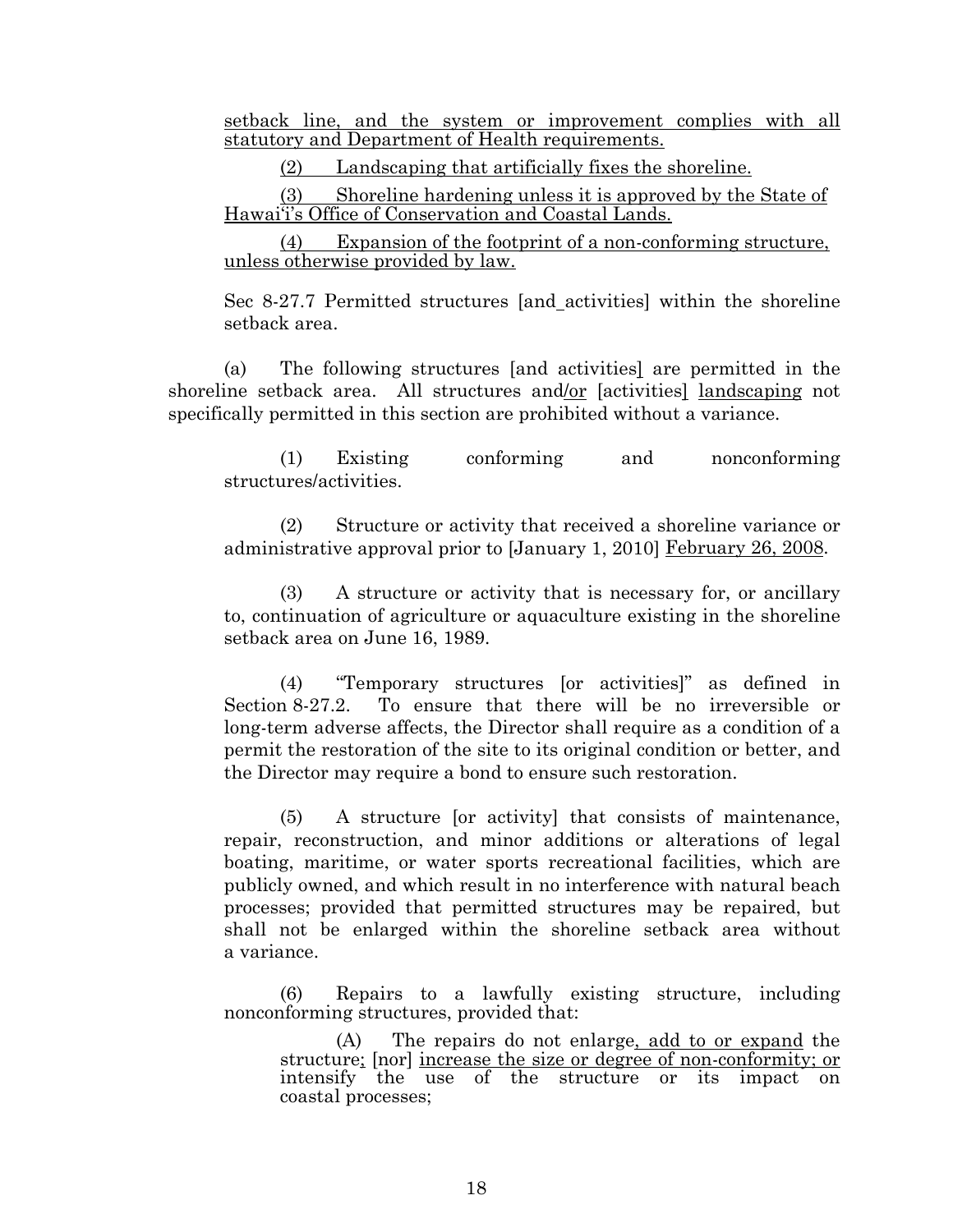setback line, and the system or improvement complies with all statutory and Department of Health requirements.

(2) Landscaping that artificially fixes the shoreline.

(3) Shoreline hardening unless it is approved by the State of Hawai'i's Office of Conservation and Coastal Lands.

(4) Expansion of the footprint of a non-conforming structure, unless otherwise provided by law.

Sec 8-27.7 Permitted structures [and activities] within the shoreline setback area.

(a) The following structures [and activities] are permitted in the shoreline setback area. All structures and/or [activities] landscaping not specifically permitted in this section are prohibited without a variance.

(1) Existing conforming and nonconforming structures/activities.

(2) Structure or activity that received a shoreline variance or administrative approval prior to [January 1, 2010] February 26, 2008.

(3) A structure or activity that is necessary for, or ancillary to, continuation of agriculture or aquaculture existing in the shoreline setback area on June 16, 1989.

(4) "Temporary structures [or activities]" as defined in Section 8-27.2. To ensure that there will be no irreversible or long-term adverse affects, the Director shall require as a condition of a permit the restoration of the site to its original condition or better, and the Director may require a bond to ensure such restoration.

(5) A structure [or activity] that consists of maintenance, repair, reconstruction, and minor additions or alterations of legal boating, maritime, or water sports recreational facilities, which are publicly owned, and which result in no interference with natural beach processes; provided that permitted structures may be repaired, but shall not be enlarged within the shoreline setback area without a variance.

(6) Repairs to a lawfully existing structure, including nonconforming structures, provided that:

(A) The repairs do not enlarge, add to or expand the structure; [nor] increase the size or degree of non-conformity; or intensify the use of the structure or its impact on coastal processes;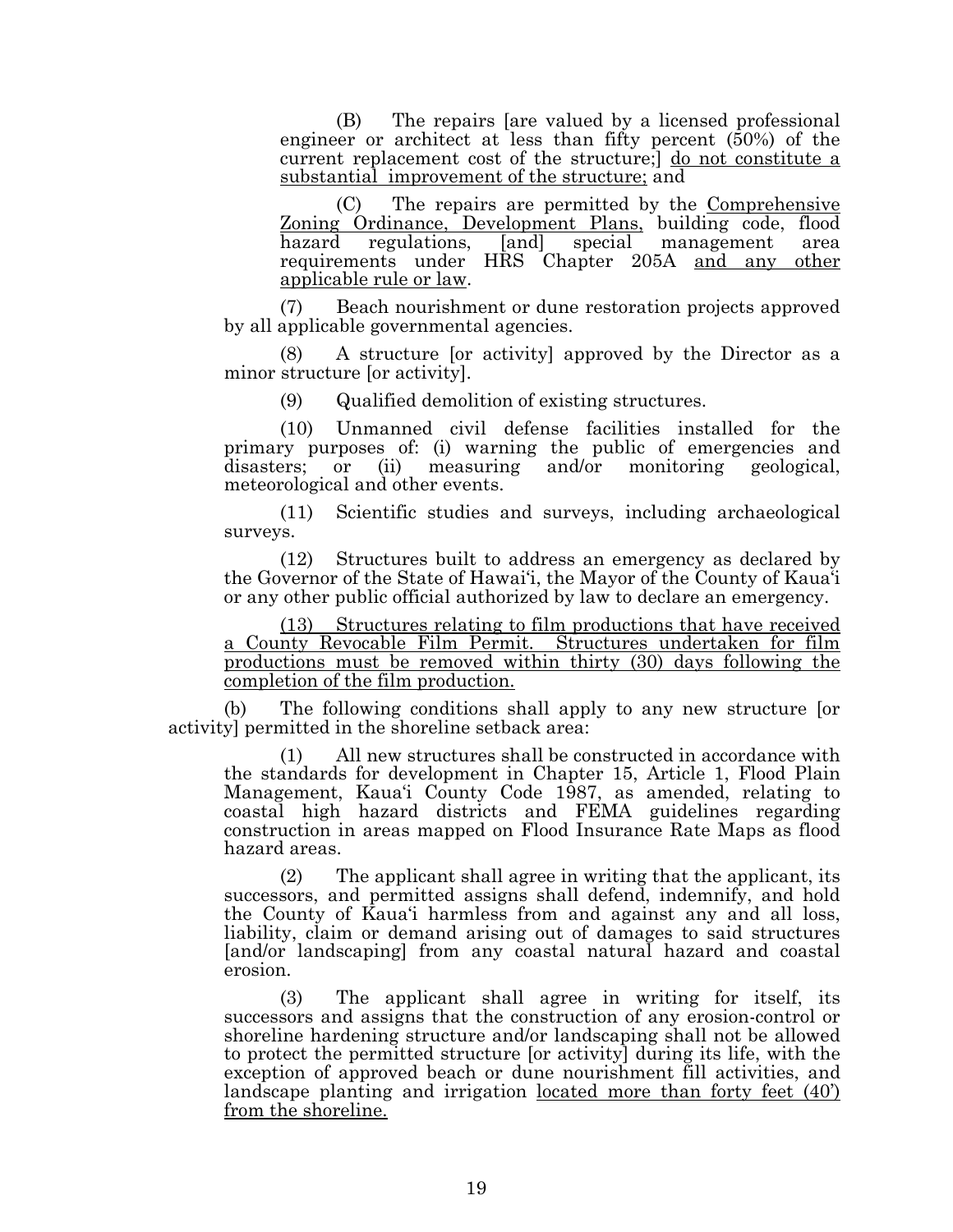(B) The repairs [are valued by a licensed professional engineer or architect at less than fifty percent (50%) of the current replacement cost of the structure;] do not constitute a substantial improvement of the structure; and

(C) The repairs are permitted by the Comprehensive Zoning Ordinance, Development Plans, building code, flood hazard regulations, [and] special management area requirements under HRS Chapter 205A and any other applicable rule or law.

(7) Beach nourishment or dune restoration projects approved by all applicable governmental agencies.

A structure [or activity] approved by the Director as a minor structure [or activity].

(9) Qualified demolition of existing structures.

(10) Unmanned civil defense facilities installed for the primary purposes of: (i) warning the public of emergencies and disasters; or (ii) measuring and/or monitoring geological, measuring and/or monitoring geological, meteorological and other events.

(11) Scientific studies and surveys, including archaeological surveys.

(12) Structures built to address an emergency as declared by the Governor of the State of Hawai'i, the Mayor of the County of Kaua'i or any other public official authorized by law to declare an emergency.

(13) Structures relating to film productions that have received a County Revocable Film Permit. Structures undertaken for film productions must be removed within thirty (30) days following the completion of the film production.

(b) The following conditions shall apply to any new structure [or activity] permitted in the shoreline setback area:

(1) All new structures shall be constructed in accordance with the standards for development in Chapter 15, Article 1, Flood Plain Management, Kaua'i County Code 1987, as amended, relating to coastal high hazard districts and FEMA guidelines regarding construction in areas mapped on Flood Insurance Rate Maps as flood hazard areas.

(2) The applicant shall agree in writing that the applicant, its successors, and permitted assigns shall defend, indemnify, and hold the County of Kaua'i harmless from and against any and all loss, liability, claim or demand arising out of damages to said structures [and/or landscaping] from any coastal natural hazard and coastal erosion.

(3) The applicant shall agree in writing for itself, its successors and assigns that the construction of any erosion-control or shoreline hardening structure and/or landscaping shall not be allowed to protect the permitted structure [or activity] during its life, with the exception of approved beach or dune nourishment fill activities, and landscape planting and irrigation located more than forty feet (40') from the shoreline.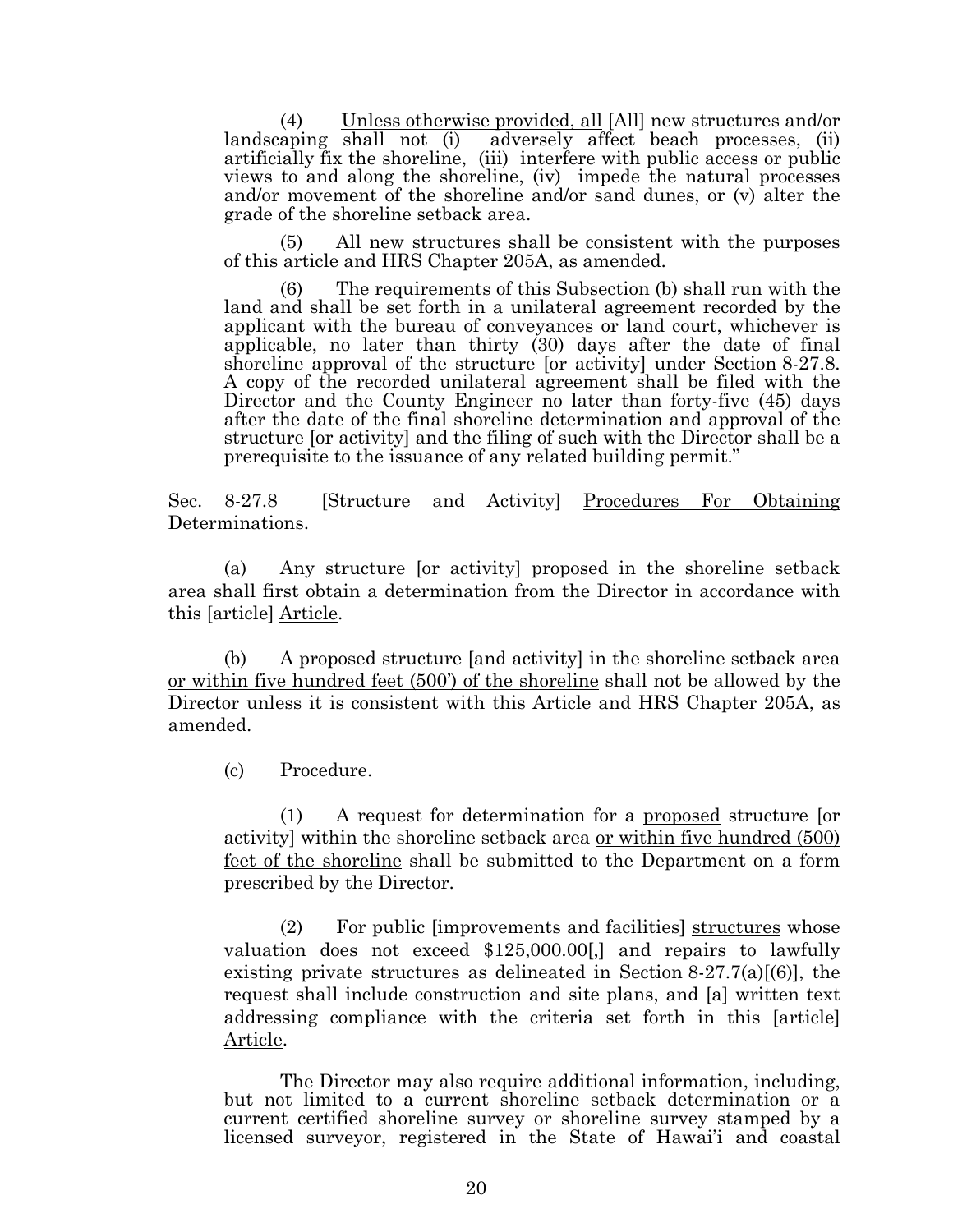(4) Unless otherwise provided, all [All] new structures and/or landscaping shall not (i) adversely affect beach processes, (ii) adversely affect beach processes, (ii) artificially fix the shoreline, (iii) interfere with public access or public views to and along the shoreline, (iv) impede the natural processes and/or movement of the shoreline and/or sand dunes, or (v) alter the grade of the shoreline setback area.

(5) All new structures shall be consistent with the purposes of this article and HRS Chapter 205A, as amended.

(6) The requirements of this Subsection (b) shall run with the land and shall be set forth in a unilateral agreement recorded by the applicant with the bureau of conveyances or land court, whichever is applicable, no later than thirty (30) days after the date of final shoreline approval of the structure [or activity] under Section 8-27.8. A copy of the recorded unilateral agreement shall be filed with the Director and the County Engineer no later than forty-five (45) days after the date of the final shoreline determination and approval of the structure [or activity] and the filing of such with the Director shall be a prerequisite to the issuance of any related building permit."

Sec. 8-27.8 [Structure and Activity] Procedures For Obtaining Determinations.

(a) Any structure [or activity] proposed in the shoreline setback area shall first obtain a determination from the Director in accordance with this [article] Article.

(b) A proposed structure [and activity] in the shoreline setback area or within five hundred feet (500') of the shoreline shall not be allowed by the Director unless it is consistent with this Article and HRS Chapter 205A, as amended.

(c) Procedure.

(1) A request for determination for a proposed structure [or activity] within the shoreline setback area or within five hundred (500) feet of the shoreline shall be submitted to the Department on a form prescribed by the Director.

(2) For public [improvements and facilities] structures whose valuation does not exceed \$125,000.00[,] and repairs to lawfully existing private structures as delineated in Section  $8-27.7(a)[(6)]$ , the request shall include construction and site plans, and [a] written text addressing compliance with the criteria set forth in this [article] Article.

The Director may also require additional information, including, but not limited to a current shoreline setback determination or a current certified shoreline survey or shoreline survey stamped by a licensed surveyor, registered in the State of Hawai'i and coastal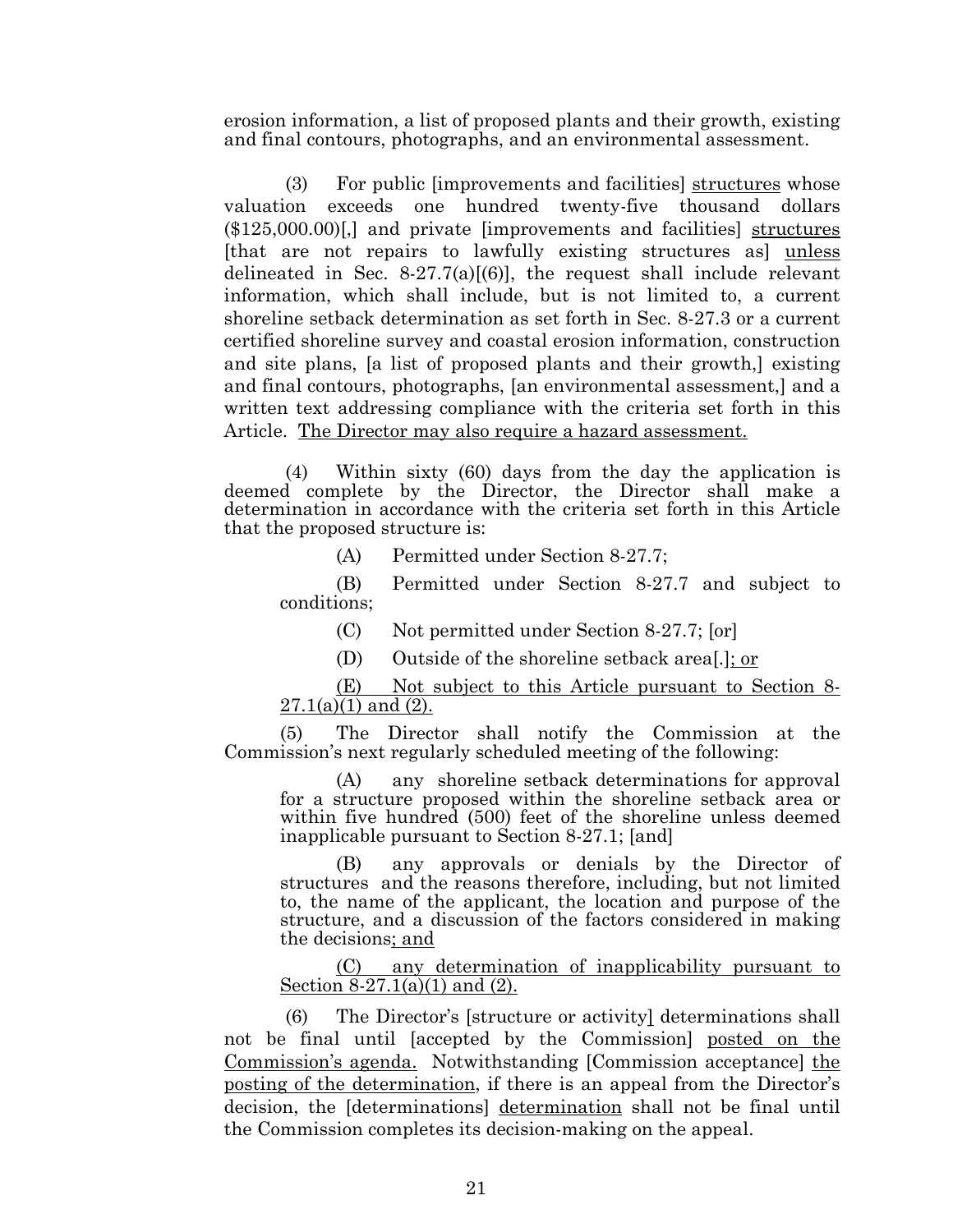erosion information, a list of proposed plants and their growth, existing and final contours, photographs, and an environmental assessment.

(3) For public [improvements and facilities] structures whose valuation exceeds one hundred twenty-five thousand dollars (\$125,000.00)[,] and private [improvements and facilities] structures [that are not repairs to lawfully existing structures as] unless delineated in Sec. 8-27.7(a) $(6)$ ], the request shall include relevant information, which shall include, but is not limited to, a current shoreline setback determination as set forth in Sec. 8-27.3 or a current certified shoreline survey and coastal erosion information, construction and site plans, [a list of proposed plants and their growth,] existing and final contours, photographs, [an environmental assessment,] and a written text addressing compliance with the criteria set forth in this Article. The Director may also require a hazard assessment.

(4) Within sixty (60) days from the day the application is deemed complete by the Director, the Director shall make a determination in accordance with the criteria set forth in this Article that the proposed structure is:

(A) Permitted under Section 8-27.7;

(B) Permitted under Section 8-27.7 and subject to conditions;

- (C) Not permitted under Section 8-27.7; [or]
- (D) Outside of the shoreline setback area[.]; or

(E) Not subject to this Article pursuant to Section 8-  $27.1(a)(1)$  and  $(2)$ .

(5) The Director shall notify the Commission at the Commission's next regularly scheduled meeting of the following:

(A) any shoreline setback determinations for approval for a structure proposed within the shoreline setback area or within five hundred (500) feet of the shoreline unless deemed inapplicable pursuant to Section 8-27.1; [and]

(B) any approvals or denials by the Director of structures and the reasons therefore, including, but not limited to, the name of the applicant, the location and purpose of the structure, and a discussion of the factors considered in making the decisions; and

(C) any determination of inapplicability pursuant to Section 8-27.1(a)(1) and (2).

(6) The Director's [structure or activity] determinations shall not be final until [accepted by the Commission] posted on the Commission's agenda. Notwithstanding [Commission acceptance] the posting of the determination, if there is an appeal from the Director's decision, the [determinations] determination shall not be final until the Commission completes its decision-making on the appeal.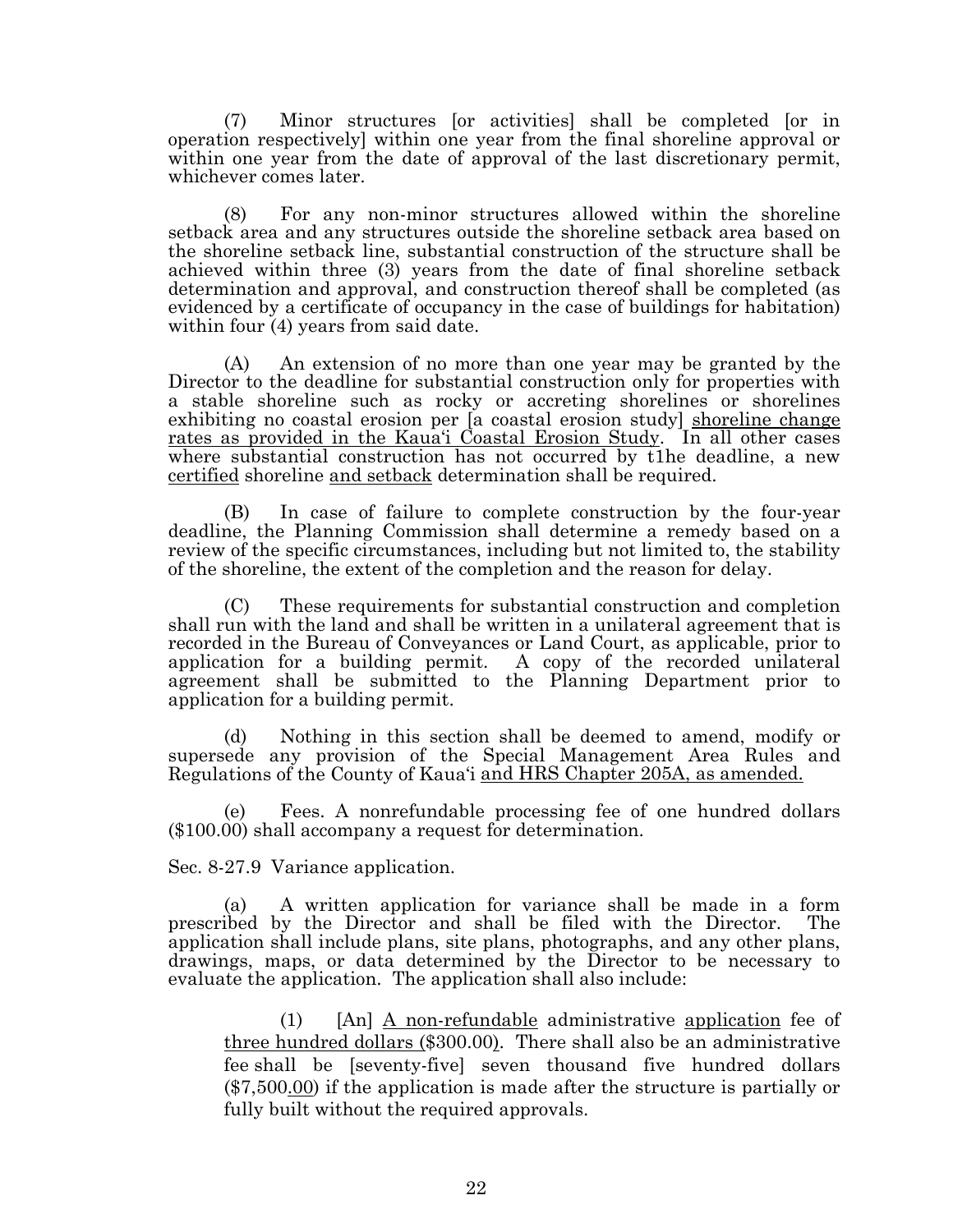(7) Minor structures [or activities] shall be completed [or in operation respectively] within one year from the final shoreline approval or within one year from the date of approval of the last discretionary permit, whichever comes later.

(8) For any non-minor structures allowed within the shoreline setback area and any structures outside the shoreline setback area based on the shoreline setback line, substantial construction of the structure shall be achieved within three (3) years from the date of final shoreline setback determination and approval, and construction thereof shall be completed (as evidenced by a certificate of occupancy in the case of buildings for habitation) within four (4) years from said date.

(A) An extension of no more than one year may be granted by the Director to the deadline for substantial construction only for properties with a stable shoreline such as rocky or accreting shorelines or shorelines exhibiting no coastal erosion per [a coastal erosion study] shoreline change rates as provided in the Kaua'i Coastal Erosion Study. In all other cases where substantial construction has not occurred by t1he deadline, a new certified shoreline and setback determination shall be required.

(B) In case of failure to complete construction by the four-year deadline, the Planning Commission shall determine a remedy based on a review of the specific circumstances, including but not limited to, the stability of the shoreline, the extent of the completion and the reason for delay.

(C) These requirements for substantial construction and completion shall run with the land and shall be written in a unilateral agreement that is recorded in the Bureau of Conveyances or Land Court, as applicable, prior to application for a building permit. A copy of the recorded unilateral agreement shall be submitted to the Planning Department prior to application for a building permit.

(d) Nothing in this section shall be deemed to amend, modify or supersede any provision of the Special Management Area Rules and Regulations of the County of Kaua'i and HRS Chapter 205A, as amended.

(e) Fees. A nonrefundable processing fee of one hundred dollars (\$100.00) shall accompany a request for determination.

Sec. 8-27.9 Variance application.

(a) A written application for variance shall be made in a form prescribed by the Director and shall be filed with the Director. The application shall include plans, site plans, photographs, and any other plans, drawings, maps, or data determined by the Director to be necessary to evaluate the application. The application shall also include:

(1) [An] A non-refundable administrative application fee of three hundred dollars (\$300.00). There shall also be an administrative fee shall be [seventy-five] seven thousand five hundred dollars (\$7,500.00) if the application is made after the structure is partially or fully built without the required approvals.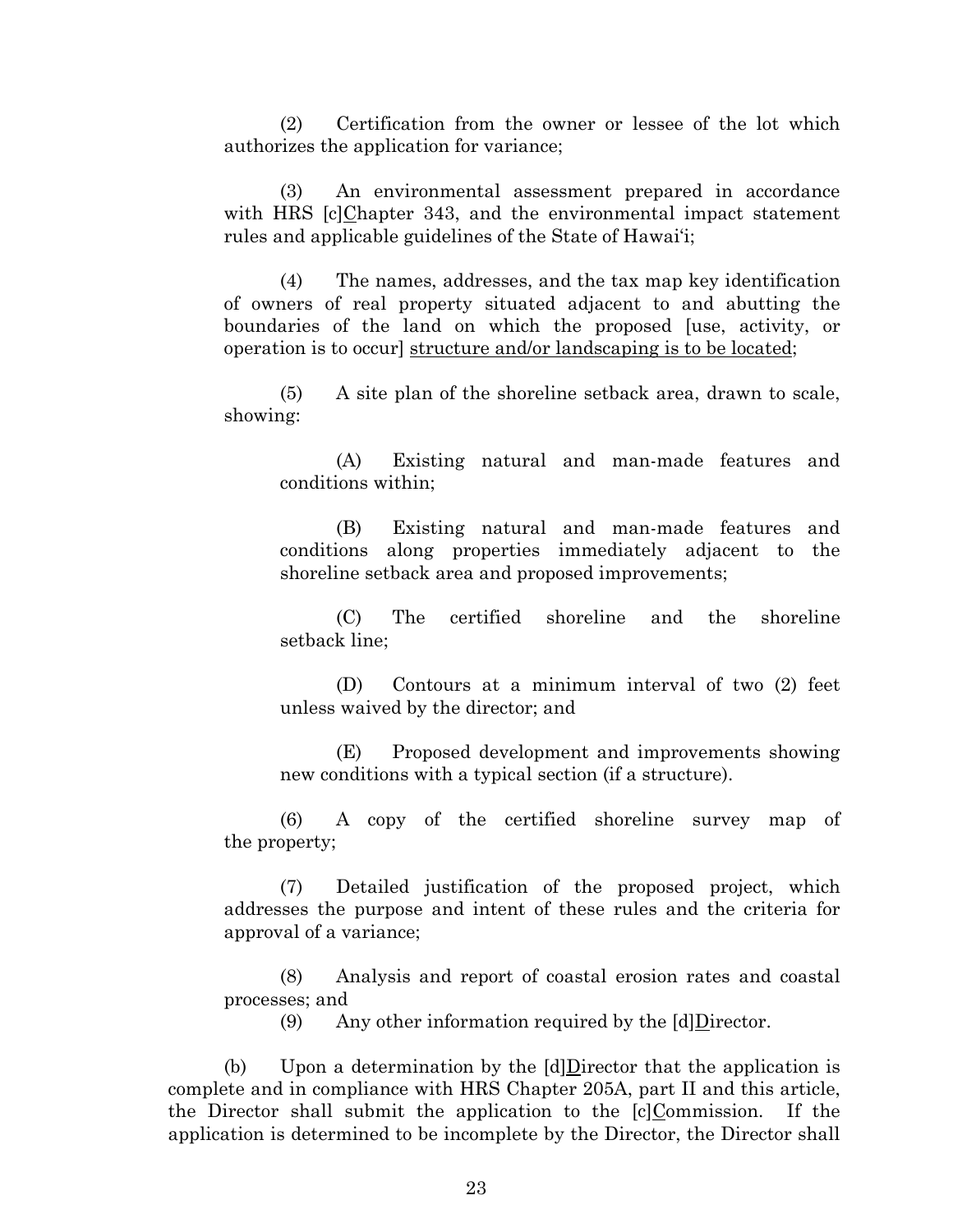(2) Certification from the owner or lessee of the lot which authorizes the application for variance;

(3) An environmental assessment prepared in accordance with HRS [c]Chapter 343, and the environmental impact statement rules and applicable guidelines of the State of Hawai'i;

(4) The names, addresses, and the tax map key identification of owners of real property situated adjacent to and abutting the boundaries of the land on which the proposed [use, activity, or operation is to occur] structure and/or landscaping is to be located;

(5) A site plan of the shoreline setback area, drawn to scale, showing:

(A) Existing natural and man-made features and conditions within;

(B) Existing natural and man-made features and conditions along properties immediately adjacent to the shoreline setback area and proposed improvements;

(C) The certified shoreline and the shoreline setback line;

(D) Contours at a minimum interval of two (2) feet unless waived by the director; and

(E) Proposed development and improvements showing new conditions with a typical section (if a structure).

(6) A copy of the certified shoreline survey map of the property;

(7) Detailed justification of the proposed project, which addresses the purpose and intent of these rules and the criteria for approval of a variance;

(8) Analysis and report of coastal erosion rates and coastal processes; and

(9) Any other information required by the [d]Director.

(b) Upon a determination by the [d]Director that the application is complete and in compliance with HRS Chapter 205A, part II and this article, the Director shall submit the application to the [c]Commission. If the application is determined to be incomplete by the Director, the Director shall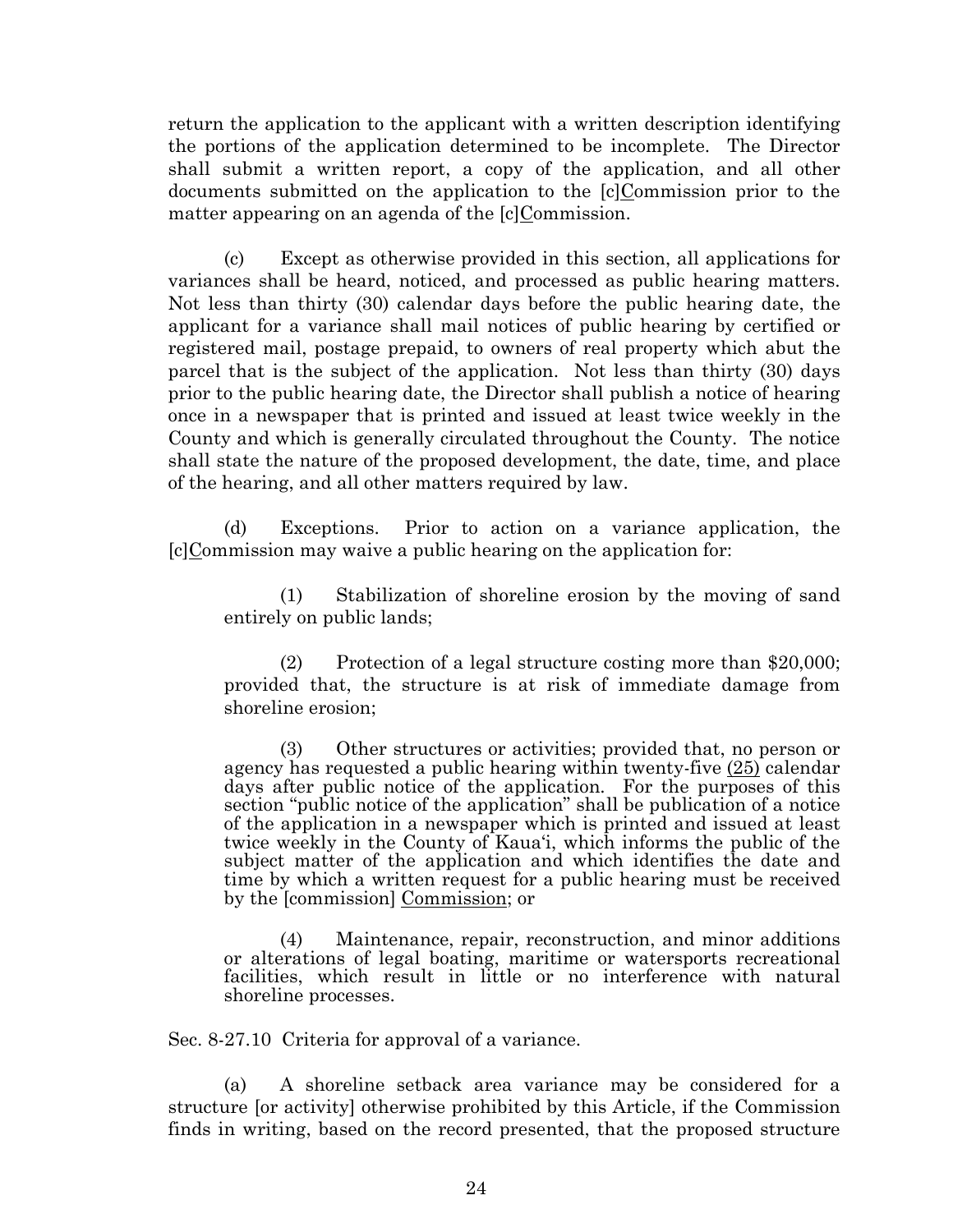return the application to the applicant with a written description identifying the portions of the application determined to be incomplete. The Director shall submit a written report, a copy of the application, and all other documents submitted on the application to the [c]Commission prior to the matter appearing on an agenda of the [c]Commission.

(c) Except as otherwise provided in this section, all applications for variances shall be heard, noticed, and processed as public hearing matters. Not less than thirty (30) calendar days before the public hearing date, the applicant for a variance shall mail notices of public hearing by certified or registered mail, postage prepaid, to owners of real property which abut the parcel that is the subject of the application. Not less than thirty (30) days prior to the public hearing date, the Director shall publish a notice of hearing once in a newspaper that is printed and issued at least twice weekly in the County and which is generally circulated throughout the County. The notice shall state the nature of the proposed development, the date, time, and place of the hearing, and all other matters required by law.

(d) Exceptions. Prior to action on a variance application, the [c]Commission may waive a public hearing on the application for:

(1) Stabilization of shoreline erosion by the moving of sand entirely on public lands;

(2) Protection of a legal structure costing more than \$20,000; provided that, the structure is at risk of immediate damage from shoreline erosion;

(3) Other structures or activities; provided that, no person or agency has requested a public hearing within twenty-five (25) calendar days after public notice of the application. For the purposes of this section "public notice of the application" shall be publication of a notice of the application in a newspaper which is printed and issued at least twice weekly in the County of Kaua'i, which informs the public of the subject matter of the application and which identifies the date and time by which a written request for a public hearing must be received by the [commission] Commission; or

(4) Maintenance, repair, reconstruction, and minor additions or alterations of legal boating, maritime or watersports recreational facilities, which result in little or no interference with natural shoreline processes.

Sec. 8-27.10 Criteria for approval of a variance.

(a) A shoreline setback area variance may be considered for a structure [or activity] otherwise prohibited by this Article, if the Commission finds in writing, based on the record presented, that the proposed structure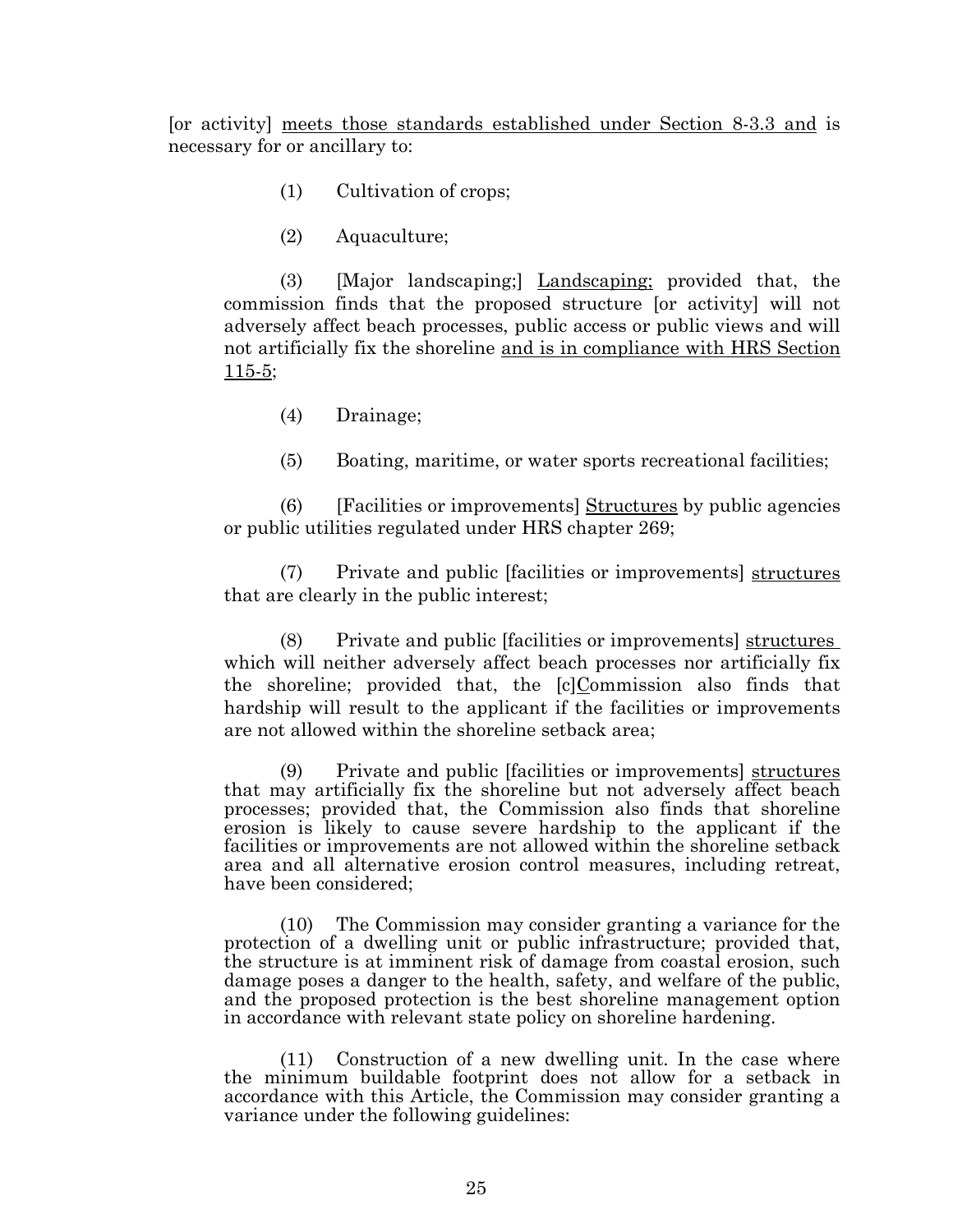[or activity] meets those standards established under Section 8-3.3 and is necessary for or ancillary to:

- (1) Cultivation of crops;
- (2) Aquaculture;

(3) [Major landscaping;] Landscaping; provided that, the commission finds that the proposed structure [or activity] will not adversely affect beach processes, public access or public views and will not artificially fix the shoreline and is in compliance with HRS Section 115-5;

(4) Drainage;

(5) Boating, maritime, or water sports recreational facilities;

 $(6)$  [Facilities or improvements] Structures by public agencies or public utilities regulated under HRS chapter 269;

(7) Private and public [facilities or improvements] structures that are clearly in the public interest;

(8) Private and public [facilities or improvements] structures which will neither adversely affect beach processes nor artificially fix the shoreline; provided that, the [c]Commission also finds that hardship will result to the applicant if the facilities or improvements are not allowed within the shoreline setback area;

(9) Private and public [facilities or improvements] structures that may artificially fix the shoreline but not adversely affect beach processes; provided that, the Commission also finds that shoreline erosion is likely to cause severe hardship to the applicant if the facilities or improvements are not allowed within the shoreline setback area and all alternative erosion control measures, including retreat, have been considered;

(10) The Commission may consider granting a variance for the protection of a dwelling unit or public infrastructure; provided that, the structure is at imminent risk of damage from coastal erosion, such damage poses a danger to the health, safety, and welfare of the public, and the proposed protection is the best shoreline management option in accordance with relevant state policy on shoreline hardening.

(11) Construction of a new dwelling unit. In the case where the minimum buildable footprint does not allow for a setback in accordance with this Article, the Commission may consider granting a variance under the following guidelines: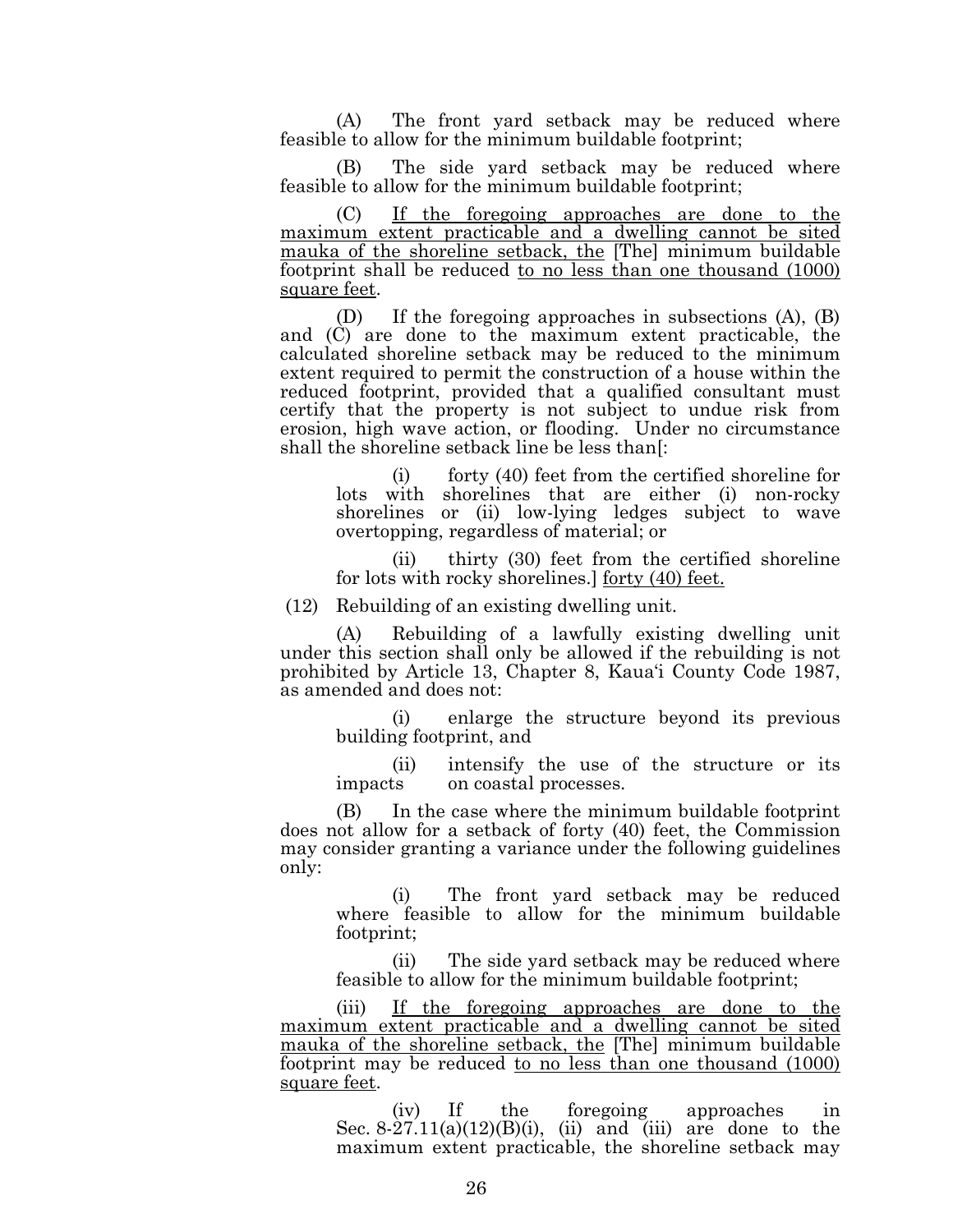(A) The front yard setback may be reduced where feasible to allow for the minimum buildable footprint;

(B) The side yard setback may be reduced where feasible to allow for the minimum buildable footprint;

(C) If the foregoing approaches are done to the maximum extent practicable and a dwelling cannot be sited mauka of the shoreline setback, the [The] minimum buildable footprint shall be reduced to no less than one thousand (1000) square feet.

(D) If the foregoing approaches in subsections (A), (B) and (C) are done to the maximum extent practicable, the calculated shoreline setback may be reduced to the minimum extent required to permit the construction of a house within the reduced footprint, provided that a qualified consultant must certify that the property is not subject to undue risk from erosion, high wave action, or flooding. Under no circumstance shall the shoreline setback line be less than[:

(i) forty (40) feet from the certified shoreline for lots with shorelines that are either (i) non-rocky shorelines or (ii) low-lying ledges subject to wave overtopping, regardless of material; or

(ii) thirty (30) feet from the certified shoreline for lots with rocky shorelines.] forty (40) feet.

(12) Rebuilding of an existing dwelling unit.

(A) Rebuilding of a lawfully existing dwelling unit under this section shall only be allowed if the rebuilding is not prohibited by Article 13, Chapter 8, Kaua'i County Code 1987, as amended and does not:

(i) enlarge the structure beyond its previous building footprint, and

(ii) intensify the use of the structure or its impacts on coastal processes.

(B) In the case where the minimum buildable footprint does not allow for a setback of forty (40) feet, the Commission may consider granting a variance under the following guidelines only:

(i) The front yard setback may be reduced where feasible to allow for the minimum buildable footprint;

(ii) The side yard setback may be reduced where feasible to allow for the minimum buildable footprint;

(iii) If the foregoing approaches are done to the maximum extent practicable and a dwelling cannot be sited mauka of the shoreline setback, the [The] minimum buildable footprint may be reduced to no less than one thousand (1000) square feet.

(iv) If the foregoing approaches in Sec.  $8-27.11(a)(12)(B)(i)$ , (ii) and (iii) are done to the maximum extent practicable, the shoreline setback may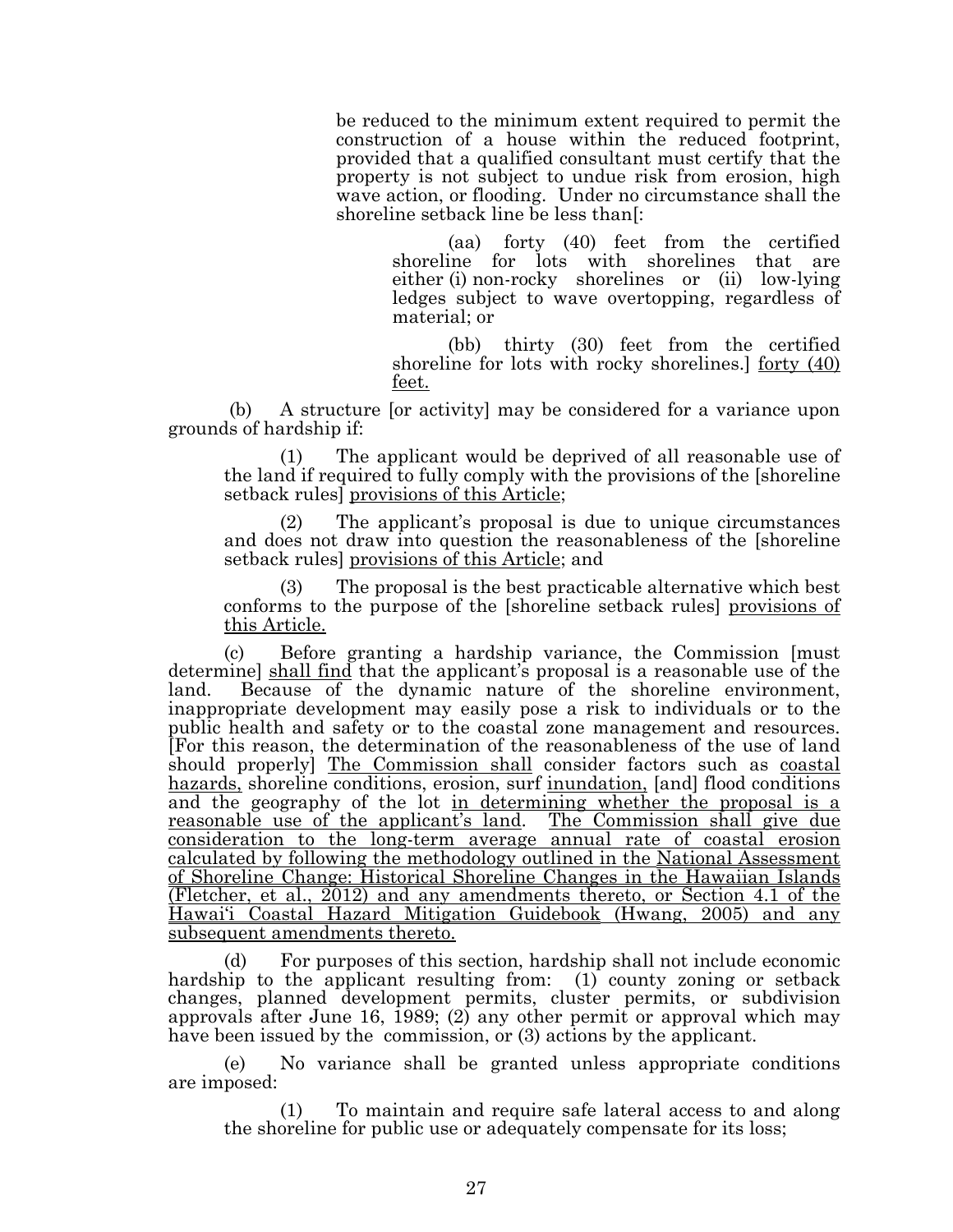be reduced to the minimum extent required to permit the construction of a house within the reduced footprint, provided that a qualified consultant must certify that the property is not subject to undue risk from erosion, high wave action, or flooding. Under no circumstance shall the shoreline setback line be less than[:

> (aa) forty (40) feet from the certified shoreline for lots with shorelines that are either (i) non-rocky shorelines or (ii) low-lying ledges subject to wave overtopping, regardless of material; or

> (bb) thirty (30) feet from the certified shoreline for lots with rocky shorelines.] forty (40) feet.

(b) A structure [or activity] may be considered for a variance upon grounds of hardship if:

(1) The applicant would be deprived of all reasonable use of the land if required to fully comply with the provisions of the [shoreline] setback rules] provisions of this Article;

The applicant's proposal is due to unique circumstances and does not draw into question the reasonableness of the [shoreline setback rules] provisions of this Article; and

(3) The proposal is the best practicable alternative which best conforms to the purpose of the [shoreline setback rules] provisions of this Article.

(c) Before granting a hardship variance, the Commission [must determine] shall find that the applicant's proposal is a reasonable use of the land. Because of the dynamic nature of the shoreline environment, inappropriate development may easily pose a risk to individuals or to the public health and safety or to the coastal zone management and resources. [For this reason, the determination of the reasonableness of the use of land should properly The Commission shall consider factors such as coastal hazards, shoreline conditions, erosion, surf inundation, [and] flood conditions and the geography of the lot in determining whether the proposal is a reasonable use of the applicant's land. The Commission shall give due consideration to the long-term average annual rate of coastal erosion calculated by following the methodology outlined in the National Assessment of Shoreline Change: Historical Shoreline Changes in the Hawaiian Islands (Fletcher, et al., 2012) and any amendments thereto, or Section 4.1 of the Hawai'i Coastal Hazard Mitigation Guidebook (Hwang, 2005) and any subsequent amendments thereto.

(d) For purposes of this section, hardship shall not include economic hardship to the applicant resulting from: (1) county zoning or setback changes, planned development permits, cluster permits, or subdivision approvals after June 16, 1989; (2) any other permit or approval which may have been issued by the commission, or (3) actions by the applicant.

(e) No variance shall be granted unless appropriate conditions are imposed:

(1) To maintain and require safe lateral access to and along the shoreline for public use or adequately compensate for its loss;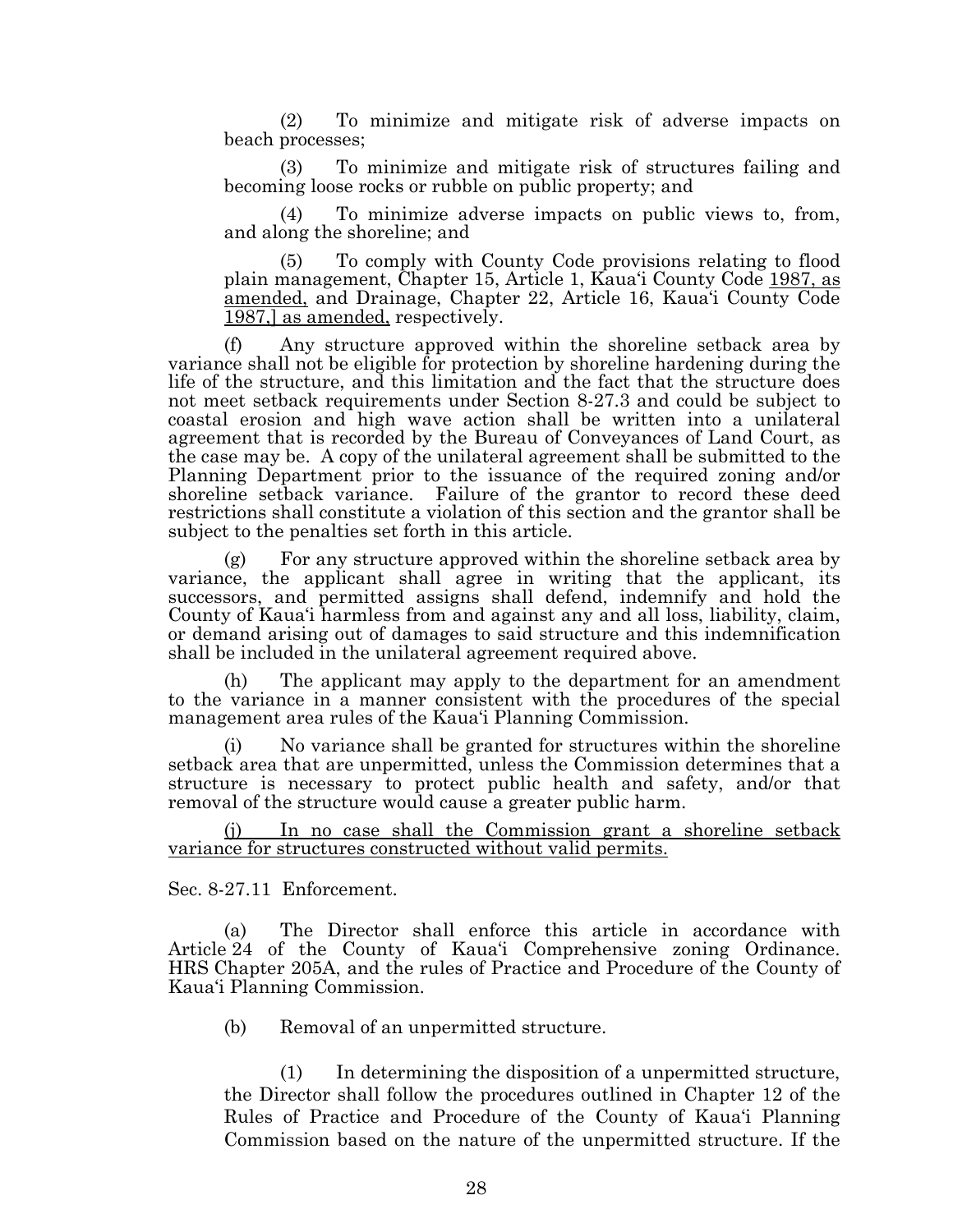(2) To minimize and mitigate risk of adverse impacts on beach processes;

(3) To minimize and mitigate risk of structures failing and becoming loose rocks or rubble on public property; and

(4) To minimize adverse impacts on public views to, from, and along the shoreline; and

(5) To comply with County Code provisions relating to flood plain management, Chapter 15, Article 1, Kaua'i County Code 1987, as amended, and Drainage, Chapter 22, Article 16, Kaua'i County Code 1987,] as amended, respectively.

(f) Any structure approved within the shoreline setback area by variance shall not be eligible for protection by shoreline hardening during the life of the structure, and this limitation and the fact that the structure does not meet setback requirements under Section 8-27.3 and could be subject to coastal erosion and high wave action shall be written into a unilateral agreement that is recorded by the Bureau of Conveyances of Land Court, as the case may be. A copy of the unilateral agreement shall be submitted to the Planning Department prior to the issuance of the required zoning and/or shoreline setback variance. Failure of the grantor to record these deed restrictions shall constitute a violation of this section and the grantor shall be subject to the penalties set forth in this article.

(g) For any structure approved within the shoreline setback area by variance, the applicant shall agree in writing that the applicant, its successors, and permitted assigns shall defend, indemnify and hold the County of Kaua'i harmless from and against any and all loss, liability, claim, or demand arising out of damages to said structure and this indemnification shall be included in the unilateral agreement required above.

(h) The applicant may apply to the department for an amendment to the variance in a manner consistent with the procedures of the special management area rules of the Kaua'i Planning Commission.

No variance shall be granted for structures within the shoreline setback area that are unpermitted, unless the Commission determines that a structure is necessary to protect public health and safety, and/or that removal of the structure would cause a greater public harm.

(j) In no case shall the Commission grant a shoreline setback variance for structures constructed without valid permits.

Sec. 8-27.11 Enforcement.

(a) The Director shall enforce this article in accordance with Article 24 of the County of Kaua'i Comprehensive zoning Ordinance. HRS Chapter 205A, and the rules of Practice and Procedure of the County of Kaua'i Planning Commission.

(b) Removal of an unpermitted structure.

(1) In determining the disposition of a unpermitted structure, the Director shall follow the procedures outlined in Chapter 12 of the Rules of Practice and Procedure of the County of Kaua'i Planning Commission based on the nature of the unpermitted structure. If the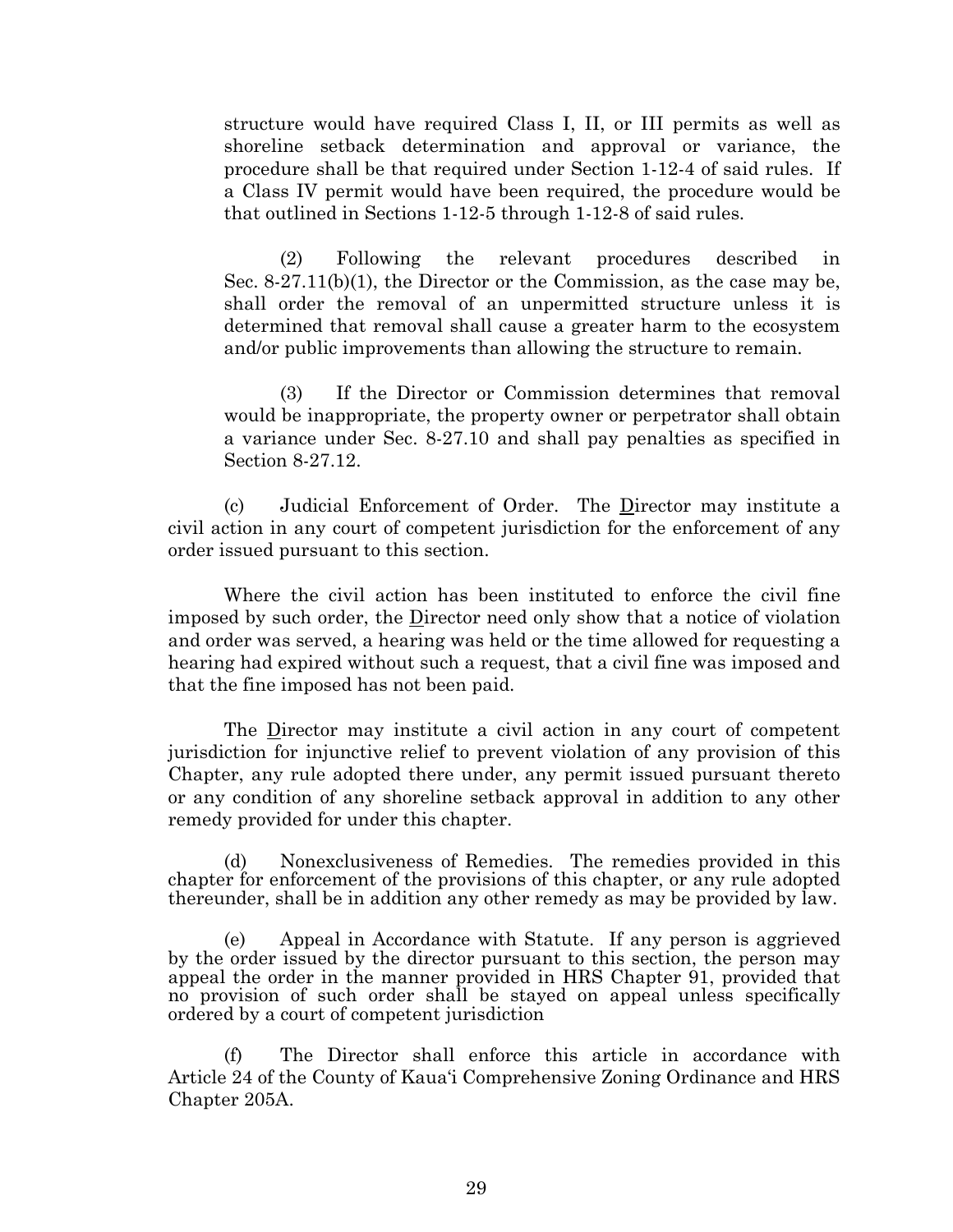structure would have required Class I, II, or III permits as well as shoreline setback determination and approval or variance, the procedure shall be that required under Section 1-12-4 of said rules. If a Class IV permit would have been required, the procedure would be that outlined in Sections 1-12-5 through 1-12-8 of said rules.

(2) Following the relevant procedures described in Sec. 8-27.11(b)(1), the Director or the Commission, as the case may be, shall order the removal of an unpermitted structure unless it is determined that removal shall cause a greater harm to the ecosystem and/or public improvements than allowing the structure to remain.

(3) If the Director or Commission determines that removal would be inappropriate, the property owner or perpetrator shall obtain a variance under Sec. 8-27.10 and shall pay penalties as specified in Section 8-27.12.

(c) Judicial Enforcement of Order. The Director may institute a civil action in any court of competent jurisdiction for the enforcement of any order issued pursuant to this section.

Where the civil action has been instituted to enforce the civil fine imposed by such order, the Director need only show that a notice of violation and order was served, a hearing was held or the time allowed for requesting a hearing had expired without such a request, that a civil fine was imposed and that the fine imposed has not been paid.

The Director may institute a civil action in any court of competent jurisdiction for injunctive relief to prevent violation of any provision of this Chapter, any rule adopted there under, any permit issued pursuant thereto or any condition of any shoreline setback approval in addition to any other remedy provided for under this chapter.

(d) Nonexclusiveness of Remedies. The remedies provided in this chapter for enforcement of the provisions of this chapter, or any rule adopted thereunder, shall be in addition any other remedy as may be provided by law.

(e) Appeal in Accordance with Statute. If any person is aggrieved by the order issued by the director pursuant to this section, the person may appeal the order in the manner provided in HRS Chapter 91, provided that no provision of such order shall be stayed on appeal unless specifically ordered by a court of competent jurisdiction

(f) The Director shall enforce this article in accordance with Article 24 of the County of Kaua'i Comprehensive Zoning Ordinance and HRS Chapter 205A.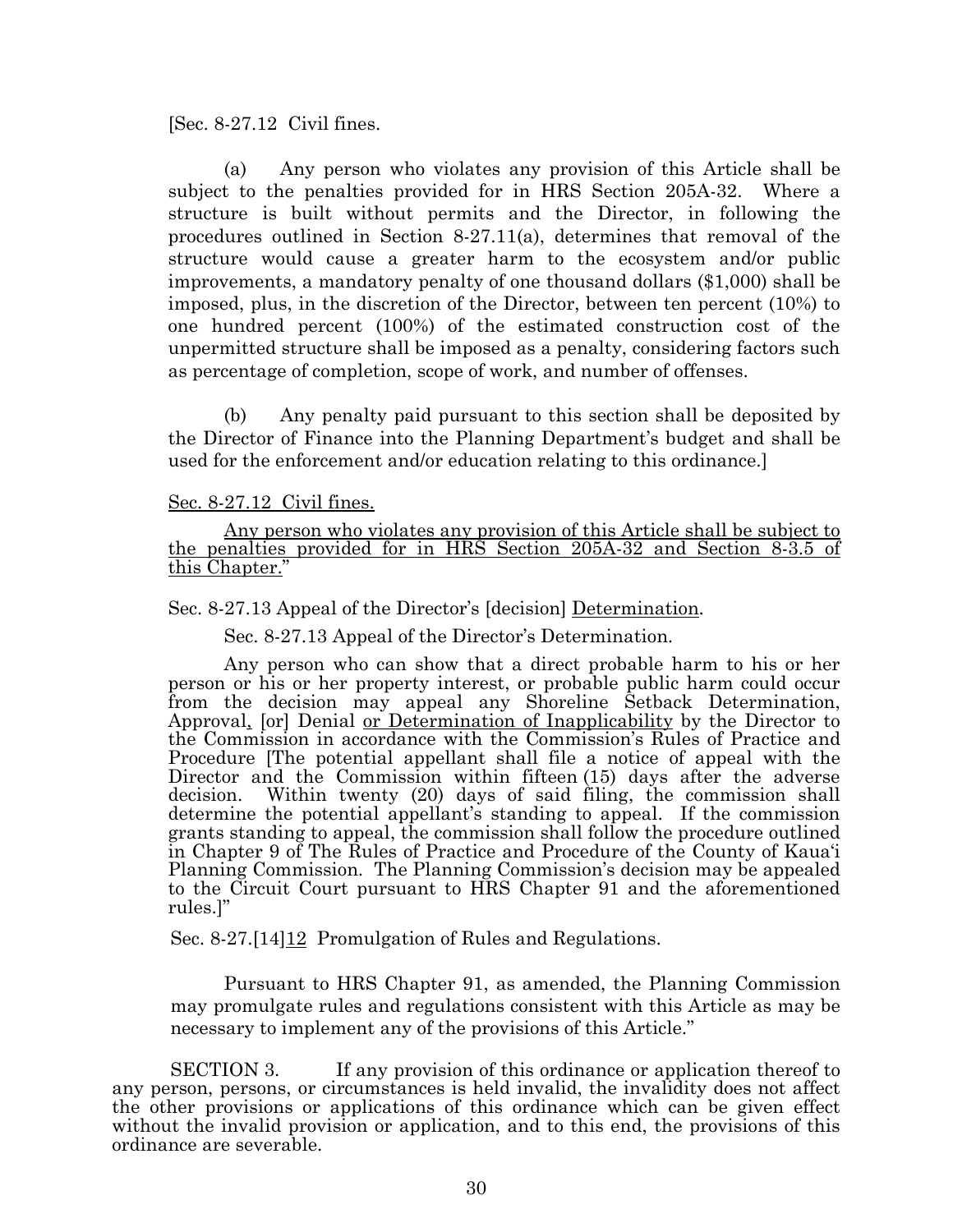[Sec. 8-27.12 Civil fines.

(a) Any person who violates any provision of this Article shall be subject to the penalties provided for in HRS Section 205A-32. Where a structure is built without permits and the Director, in following the procedures outlined in Section 8-27.11(a), determines that removal of the structure would cause a greater harm to the ecosystem and/or public improvements, a mandatory penalty of one thousand dollars (\$1,000) shall be imposed, plus, in the discretion of the Director, between ten percent (10%) to one hundred percent (100%) of the estimated construction cost of the unpermitted structure shall be imposed as a penalty, considering factors such as percentage of completion, scope of work, and number of offenses.

(b) Any penalty paid pursuant to this section shall be deposited by the Director of Finance into the Planning Department's budget and shall be used for the enforcement and/or education relating to this ordinance.]

#### Sec. 8-27.12 Civil fines.

Any person who violates any provision of this Article shall be subject to the penalties provided for in HRS Section 205A-32 and Section 8-3.5 of this Chapter."

Sec. 8-27.13 Appeal of the Director's [decision] Determination.

Sec. 8-27.13 Appeal of the Director's Determination.

Any person who can show that a direct probable harm to his or her person or his or her property interest, or probable public harm could occur from the decision may appeal any Shoreline Setback Determination, Approval, [or] Denial or Determination of Inapplicability by the Director to the Commission in accordance with the Commission's Rules of Practice and Procedure [The potential appellant shall file a notice of appeal with the Director and the Commission within fifteen (15) days after the adverse decision. Within twenty (20) days of said filing, the commission shall determine the potential appellant's standing to appeal. If the commission grants standing to appeal, the commission shall follow the procedure outlined in Chapter 9 of The Rules of Practice and Procedure of the County of Kaua'i Planning Commission. The Planning Commission's decision may be appealed to the Circuit Court pursuant to HRS Chapter 91 and the aforementioned rules.]"

Sec. 8-27.<sup>[14] 12</sup> Promulgation of Rules and Regulations.

Pursuant to HRS Chapter 91, as amended, the Planning Commission may promulgate rules and regulations consistent with this Article as may be necessary to implement any of the provisions of this Article."

SECTION 3. If any provision of this ordinance or application thereof to any person, persons, or circumstances is held invalid, the invalidity does not affect the other provisions or applications of this ordinance which can be given effect without the invalid provision or application, and to this end, the provisions of this ordinance are severable.